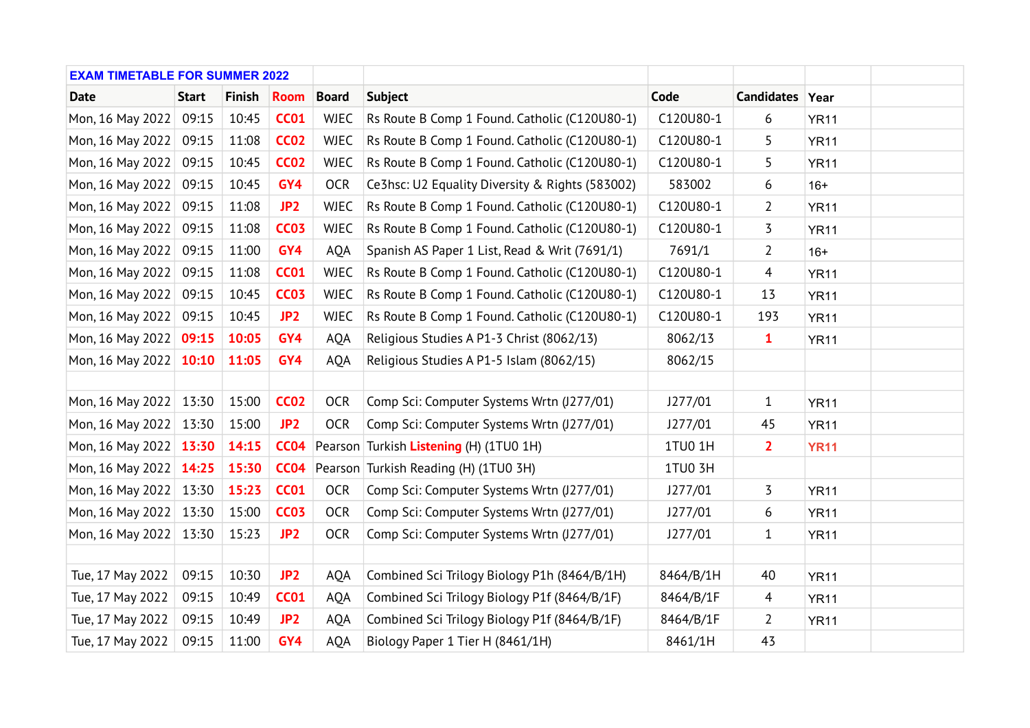| <b>EXAM TIMETABLE FOR SUMMER 2022</b> |              |               |                 |              |                                                 |           |                 |             |  |
|---------------------------------------|--------------|---------------|-----------------|--------------|-------------------------------------------------|-----------|-----------------|-------------|--|
| <b>Date</b>                           | <b>Start</b> | <b>Finish</b> | <b>Room</b>     | <b>Board</b> | <b>Subject</b>                                  | Code      | Candidates Year |             |  |
| Mon, 16 May 2022                      | 09:15        | 10:45         | <b>CC01</b>     | <b>WJEC</b>  | Rs Route B Comp 1 Found. Catholic (C120U80-1)   | C120U80-1 | 6               | <b>YR11</b> |  |
| Mon, 16 May 2022                      | 09:15        | 11:08         | <b>CC02</b>     | <b>WJEC</b>  | Rs Route B Comp 1 Found. Catholic (C120U80-1)   | C120U80-1 | 5               | <b>YR11</b> |  |
| Mon, 16 May 2022                      | 09:15        | 10:45         | <b>CC02</b>     | <b>WJEC</b>  | Rs Route B Comp 1 Found. Catholic (C120U80-1)   | C120U80-1 | 5               | <b>YR11</b> |  |
| Mon, 16 May 2022                      | 09:15        | 10:45         | GY4             | <b>OCR</b>   | Ce3hsc: U2 Equality Diversity & Rights (583002) | 583002    | 6               | $16+$       |  |
| Mon, 16 May 2022                      | 09:15        | 11:08         | JP <sub>2</sub> | <b>WJEC</b>  | Rs Route B Comp 1 Found. Catholic (C120U80-1)   | C120U80-1 | $\overline{2}$  | <b>YR11</b> |  |
| Mon, 16 May 2022                      | 09:15        | 11:08         | <b>CC03</b>     | <b>WJEC</b>  | Rs Route B Comp 1 Found. Catholic (C120U80-1)   | C120U80-1 | 3               | <b>YR11</b> |  |
| Mon, 16 May 2022                      | 09:15        | 11:00         | GY4             | <b>AQA</b>   | Spanish AS Paper 1 List, Read & Writ (7691/1)   | 7691/1    | $\overline{2}$  | $16+$       |  |
| Mon, 16 May 2022                      | 09:15        | 11:08         | <b>CC01</b>     | <b>WJEC</b>  | Rs Route B Comp 1 Found. Catholic (C120U80-1)   | C120U80-1 | $\overline{4}$  | <b>YR11</b> |  |
| Mon, 16 May 2022                      | 09:15        | 10:45         | <b>CC03</b>     | <b>WJEC</b>  | Rs Route B Comp 1 Found. Catholic (C120U80-1)   | C120U80-1 | 13              | <b>YR11</b> |  |
| Mon, 16 May 2022                      | 09:15        | 10:45         | JP <sub>2</sub> | <b>WJEC</b>  | Rs Route B Comp 1 Found. Catholic (C120U80-1)   | C120U80-1 | 193             | <b>YR11</b> |  |
| Mon, 16 May 2022 09:15                |              | 10:05         | GY4             | <b>AQA</b>   | Religious Studies A P1-3 Christ (8062/13)       | 8062/13   | $\mathbf{1}$    | <b>YR11</b> |  |
| Mon, 16 May 2022                      | 10:10        | 11:05         | GY4             | <b>AQA</b>   | Religious Studies A P1-5 Islam (8062/15)        | 8062/15   |                 |             |  |
|                                       |              |               |                 |              |                                                 |           |                 |             |  |
| Mon, 16 May 2022 13:30                |              | 15:00         | <b>CC02</b>     | <b>OCR</b>   | Comp Sci: Computer Systems Wrtn (J277/01)       | J277/01   | $\mathbf{1}$    | <b>YR11</b> |  |
| Mon, 16 May 2022                      | 13:30        | 15:00         | JP <sub>2</sub> | <b>OCR</b>   | Comp Sci: Computer Systems Wrtn (J277/01)       | J277/01   | 45              | <b>YR11</b> |  |
| Mon, 16 May 2022 13:30                |              | 14:15         | <b>CC04</b>     |              | Pearson Turkish Listening (H) (1TU0 1H)         | 1TU0 1H   | $\overline{2}$  | <b>YR11</b> |  |
| Mon, 16 May 2022 14:25                |              | 15:30         | <b>CC04</b>     |              | Pearson Turkish Reading (H) (1TU0 3H)           | 1TU0 3H   |                 |             |  |
| Mon, 16 May 2022                      | 13:30        | 15:23         | <b>CC01</b>     | <b>OCR</b>   | Comp Sci: Computer Systems Wrtn (J277/01)       | J277/01   | 3               | <b>YR11</b> |  |
| Mon, 16 May 2022                      | 13:30        | 15:00         | <b>CC03</b>     | <b>OCR</b>   | Comp Sci: Computer Systems Wrtn (J277/01)       | J277/01   | 6               | <b>YR11</b> |  |
| Mon, 16 May 2022                      | 13:30        | 15:23         | JP <sub>2</sub> | <b>OCR</b>   | Comp Sci: Computer Systems Wrtn (J277/01)       | J277/01   | $\mathbf{1}$    | <b>YR11</b> |  |
|                                       |              |               |                 |              |                                                 |           |                 |             |  |
| Tue, 17 May 2022                      | 09:15        | 10:30         | JP <sub>2</sub> | AQA          | Combined Sci Trilogy Biology P1h (8464/B/1H)    | 8464/B/1H | 40              | <b>YR11</b> |  |
| Tue, 17 May 2022                      | 09:15        | 10:49         | <b>CC01</b>     | AQA          | Combined Sci Trilogy Biology P1f (8464/B/1F)    | 8464/B/1F | 4               | <b>YR11</b> |  |
| Tue, 17 May 2022                      | 09:15        | 10:49         | JP <sub>2</sub> | AQA          | Combined Sci Trilogy Biology P1f (8464/B/1F)    | 8464/B/1F | $\overline{2}$  | <b>YR11</b> |  |
| Tue, 17 May 2022                      | 09:15        | 11:00         | GY4             | <b>AQA</b>   | Biology Paper 1 Tier H (8461/1H)                | 8461/1H   | 43              |             |  |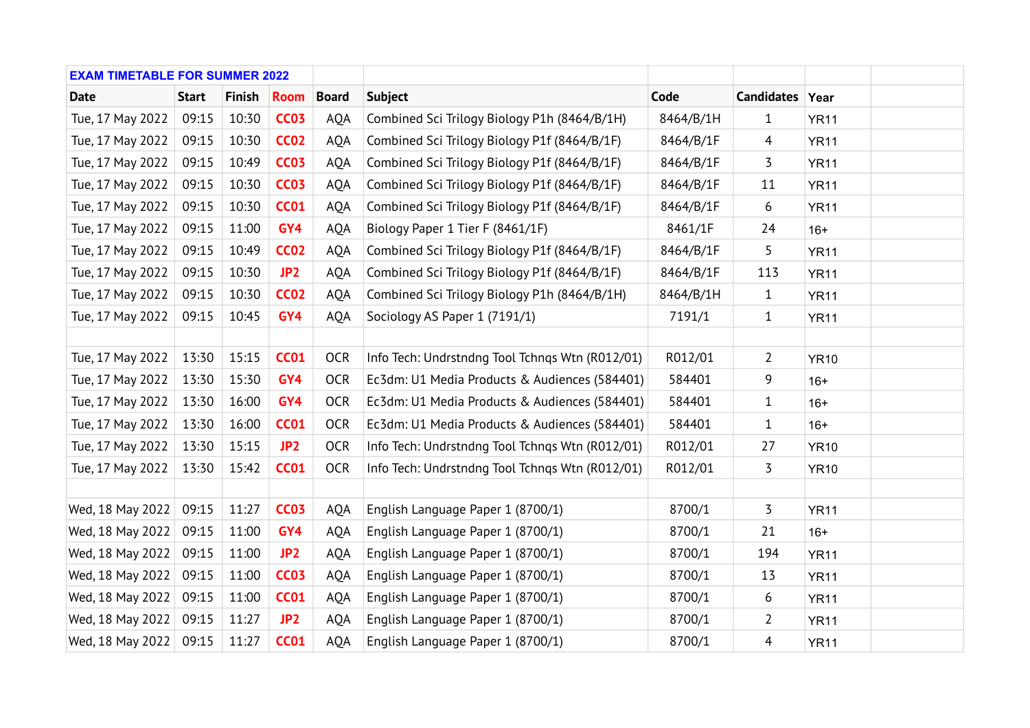| <b>EXAM TIMETABLE FOR SUMMER 2022</b> |              |               |                 |              |                                                 |           |                 |             |  |
|---------------------------------------|--------------|---------------|-----------------|--------------|-------------------------------------------------|-----------|-----------------|-------------|--|
| <b>Date</b>                           | <b>Start</b> | <b>Finish</b> | <b>Room</b>     | <b>Board</b> | <b>Subject</b>                                  | Code      | Candidates Year |             |  |
| Tue, 17 May 2022                      | 09:15        | 10:30         | <b>CC03</b>     | AQA          | Combined Sci Trilogy Biology P1h (8464/B/1H)    | 8464/B/1H | $\mathbf{1}$    | <b>YR11</b> |  |
| Tue, 17 May 2022                      | 09:15        | 10:30         | <b>CC02</b>     | AQA          | Combined Sci Trilogy Biology P1f (8464/B/1F)    | 8464/B/1F | 4               | <b>YR11</b> |  |
| Tue, 17 May 2022                      | 09:15        | 10:49         | <b>CC03</b>     | <b>AQA</b>   | Combined Sci Trilogy Biology P1f (8464/B/1F)    | 8464/B/1F | 3               | <b>YR11</b> |  |
| Tue, 17 May 2022                      | 09:15        | 10:30         | <b>CC03</b>     | <b>AQA</b>   | Combined Sci Trilogy Biology P1f (8464/B/1F)    | 8464/B/1F | 11              | <b>YR11</b> |  |
| Tue, 17 May 2022                      | 09:15        | 10:30         | <b>CC01</b>     | AQA          | Combined Sci Trilogy Biology P1f (8464/B/1F)    | 8464/B/1F | 6               | <b>YR11</b> |  |
| Tue, 17 May 2022                      | 09:15        | 11:00         | GY4             | <b>AQA</b>   | Biology Paper 1 Tier F (8461/1F)                | 8461/1F   | 24              | $16+$       |  |
| Tue, 17 May 2022                      | 09:15        | 10:49         | <b>CC02</b>     | <b>AQA</b>   | Combined Sci Trilogy Biology P1f (8464/B/1F)    | 8464/B/1F | 5               | <b>YR11</b> |  |
| Tue, 17 May 2022                      | 09:15        | 10:30         | JP <sub>2</sub> | <b>AQA</b>   | Combined Sci Trilogy Biology P1f (8464/B/1F)    | 8464/B/1F | 113             | <b>YR11</b> |  |
| Tue, 17 May 2022                      | 09:15        | 10:30         | <b>CC02</b>     | <b>AQA</b>   | Combined Sci Trilogy Biology P1h (8464/B/1H)    | 8464/B/1H | $\mathbf{1}$    | <b>YR11</b> |  |
| Tue, 17 May 2022                      | 09:15        | 10:45         | GY4             | <b>AQA</b>   | Sociology AS Paper 1 (7191/1)                   | 7191/1    | $\mathbf{1}$    | <b>YR11</b> |  |
|                                       |              |               |                 |              |                                                 |           |                 |             |  |
| Tue, 17 May 2022                      | 13:30        | 15:15         | <b>CC01</b>     | <b>OCR</b>   | Info Tech: Undrstndng Tool Tchngs Wtn (R012/01) | R012/01   | $\overline{2}$  | <b>YR10</b> |  |
| Tue, 17 May 2022                      | 13:30        | 15:30         | GY4             | <b>OCR</b>   | Ec3dm: U1 Media Products & Audiences (584401)   | 584401    | 9               | $16+$       |  |
| Tue, 17 May 2022                      | 13:30        | 16:00         | GY4             | <b>OCR</b>   | Ec3dm: U1 Media Products & Audiences (584401)   | 584401    | $\mathbf{1}$    | $16+$       |  |
| Tue, 17 May 2022                      | 13:30        | 16:00         | <b>CC01</b>     | <b>OCR</b>   | Ec3dm: U1 Media Products & Audiences (584401)   | 584401    | $\mathbf{1}$    | $16+$       |  |
| Tue, 17 May 2022                      | 13:30        | 15:15         | JP <sub>2</sub> | <b>OCR</b>   | Info Tech: Undrstndng Tool Tchngs Wtn (R012/01) | R012/01   | 27              | <b>YR10</b> |  |
| Tue, 17 May 2022                      | 13:30        | 15:42         | <b>CC01</b>     | <b>OCR</b>   | Info Tech: Undrstndng Tool Tchngs Wtn (R012/01) | R012/01   | 3               | <b>YR10</b> |  |
|                                       |              |               |                 |              |                                                 |           |                 |             |  |
| Wed, 18 May 2022                      | 09:15        | 11:27         | <b>CC03</b>     | AQA          | English Language Paper 1 (8700/1)               | 8700/1    | 3               | <b>YR11</b> |  |
| Wed, 18 May 2022                      | 09:15        | 11:00         | GY4             | <b>AQA</b>   | English Language Paper 1 (8700/1)               | 8700/1    | 21              | $16+$       |  |
| Wed, 18 May 2022                      | 09:15        | 11:00         | JP <sub>2</sub> | <b>AQA</b>   | English Language Paper 1 (8700/1)               | 8700/1    | 194             | <b>YR11</b> |  |
| Wed, 18 May 2022                      | 09:15        | 11:00         | <b>CC03</b>     | <b>AQA</b>   | English Language Paper 1 (8700/1)               | 8700/1    | 13              | <b>YR11</b> |  |
| Wed, 18 May 2022                      | 09:15        | 11:00         | <b>CC01</b>     | AQA          | English Language Paper 1 (8700/1)               | 8700/1    | 6               | <b>YR11</b> |  |
| Wed, 18 May 2022                      | 09:15        | 11:27         | JP2             | <b>AQA</b>   | English Language Paper 1 (8700/1)               | 8700/1    | $\overline{2}$  | <b>YR11</b> |  |
| Wed, 18 May 2022                      | 09:15        | 11:27         | <b>CC01</b>     | <b>AQA</b>   | English Language Paper 1 (8700/1)               | 8700/1    | $\overline{4}$  | <b>YR11</b> |  |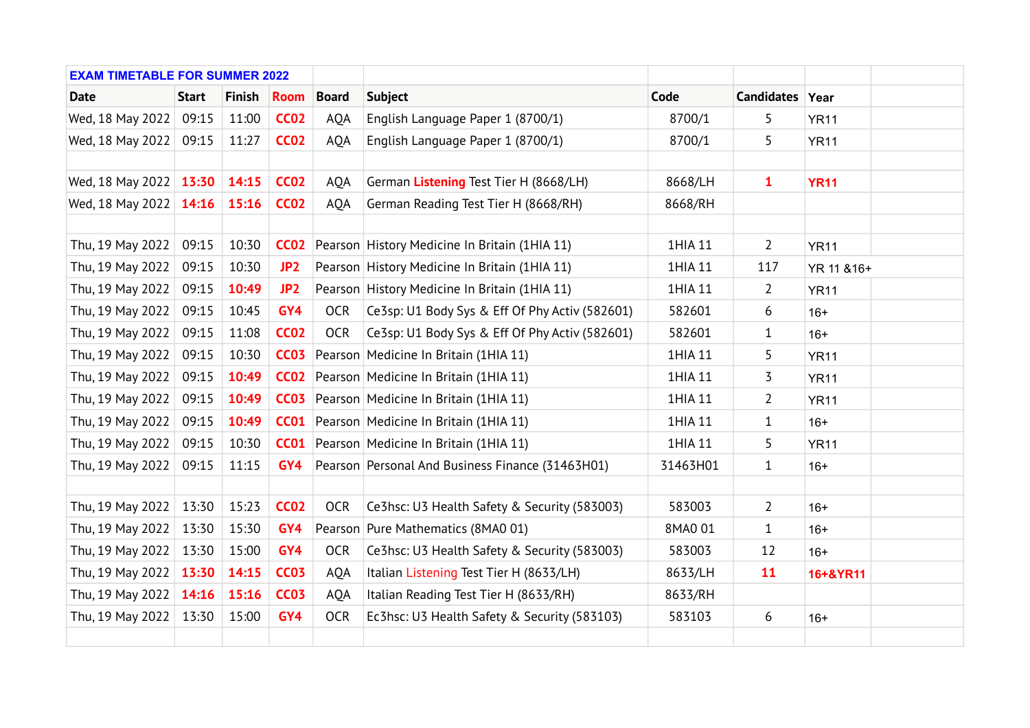| <b>EXAM TIMETABLE FOR SUMMER 2022</b> |              |               |                 |              |                                                   |          |                 |             |  |
|---------------------------------------|--------------|---------------|-----------------|--------------|---------------------------------------------------|----------|-----------------|-------------|--|
| <b>Date</b>                           | <b>Start</b> | <b>Finish</b> | <b>Room</b>     | <b>Board</b> | <b>Subject</b>                                    | Code     | Candidates Year |             |  |
| Wed, 18 May 2022                      | 09:15        | 11:00         | <b>CC02</b>     | <b>AQA</b>   | English Language Paper 1 (8700/1)                 | 8700/1   | 5               | <b>YR11</b> |  |
| Wed, 18 May 2022                      | 09:15        | 11:27         | <b>CC02</b>     | AQA          | English Language Paper 1 (8700/1)                 | 8700/1   | 5               | <b>YR11</b> |  |
|                                       |              |               |                 |              |                                                   |          |                 |             |  |
| Wed, 18 May 2022 13:30                |              | 14:15         | <b>CC02</b>     | <b>AQA</b>   | German Listening Test Tier H (8668/LH)            | 8668/LH  | $\mathbf{1}$    | <b>YR11</b> |  |
| Wed, 18 May 2022 14:16                |              | 15:16         | <b>CC02</b>     | AQA          | German Reading Test Tier H (8668/RH)              | 8668/RH  |                 |             |  |
|                                       |              |               |                 |              |                                                   |          |                 |             |  |
| Thu, 19 May 2022                      | 09:15        | 10:30         | <b>CC02</b>     |              | Pearson History Medicine In Britain (1HIA 11)     | 1HIA 11  | $\overline{2}$  | <b>YR11</b> |  |
| Thu, 19 May 2022                      | 09:15        | 10:30         | JP <sub>2</sub> |              | Pearson History Medicine In Britain (1HIA 11)     | 1HIA 11  | 117             | YR 11 & 16+ |  |
| Thu, 19 May 2022                      | 09:15        | 10:49         | JP <sub>2</sub> |              | Pearson History Medicine In Britain (1HIA 11)     | 1HIA 11  | $\overline{2}$  | <b>YR11</b> |  |
| Thu, 19 May 2022                      | 09:15        | 10:45         | GY4             | <b>OCR</b>   | Ce3sp: U1 Body Sys & Eff Of Phy Activ (582601)    | 582601   | 6               | $16+$       |  |
| Thu, 19 May 2022                      | 09:15        | 11:08         | <b>CC02</b>     | <b>OCR</b>   | Ce3sp: U1 Body Sys & Eff Of Phy Activ (582601)    | 582601   | $\mathbf{1}$    | $16+$       |  |
| Thu, 19 May 2022                      | 09:15        | 10:30         | <b>CC03</b>     |              | Pearson Medicine In Britain (1HIA 11)             | 1HIA 11  | 5               | <b>YR11</b> |  |
| Thu, 19 May 2022                      | 09:15        | 10:49         | CCO2            |              | Pearson Medicine In Britain (1HIA 11)             | 1HIA 11  | 3               | <b>YR11</b> |  |
| Thu, 19 May 2022                      | 09:15        | 10:49         |                 |              | <b>CC03</b> Pearson Medicine In Britain (1HIA 11) | 1HIA 11  | $\overline{2}$  | <b>YR11</b> |  |
| Thu, 19 May 2022                      | 09:15        | 10:49         | <b>CC01</b>     |              | Pearson   Medicine In Britain (1HIA 11)           | 1HIA 11  | 1               | $16+$       |  |
| Thu, 19 May 2022                      | 09:15        | 10:30         |                 |              | <b>CC01</b> Pearson Medicine In Britain (1HIA 11) | 1HIA 11  | 5               | <b>YR11</b> |  |
| Thu, 19 May 2022                      | 09:15        | 11:15         | GY4             |              | Pearson Personal And Business Finance (31463H01)  | 31463H01 | $\mathbf{1}$    | $16+$       |  |
|                                       |              |               |                 |              |                                                   |          |                 |             |  |
| Thu, 19 May 2022                      | 13:30        | 15:23         | <b>CC02</b>     | <b>OCR</b>   | Ce3hsc: U3 Health Safety & Security (583003)      | 583003   | $\overline{2}$  | $16+$       |  |
| Thu, 19 May 2022                      | 13:30        | 15:30         | GY4             |              | Pearson Pure Mathematics (8MA0 01)                | 8MA0 01  | $\mathbf{1}$    | $16+$       |  |
| Thu, 19 May 2022                      | 13:30        | 15:00         | GY4             | <b>OCR</b>   | Ce3hsc: U3 Health Safety & Security (583003)      | 583003   | 12              | $16+$       |  |
| Thu, 19 May 2022                      | 13:30        | 14:15         | <b>CC03</b>     | <b>AQA</b>   | Italian Listening Test Tier H (8633/LH)           | 8633/LH  | <b>11</b>       | 16+&YR11    |  |
| Thu, 19 May 2022                      | 14:16        | 15:16         | <b>CC03</b>     | <b>AQA</b>   | Italian Reading Test Tier H (8633/RH)             | 8633/RH  |                 |             |  |
| Thu, 19 May 2022                      | 13:30        | 15:00         | GY4             | <b>OCR</b>   | Ec3hsc: U3 Health Safety & Security (583103)      | 583103   | 6               | $16+$       |  |
|                                       |              |               |                 |              |                                                   |          |                 |             |  |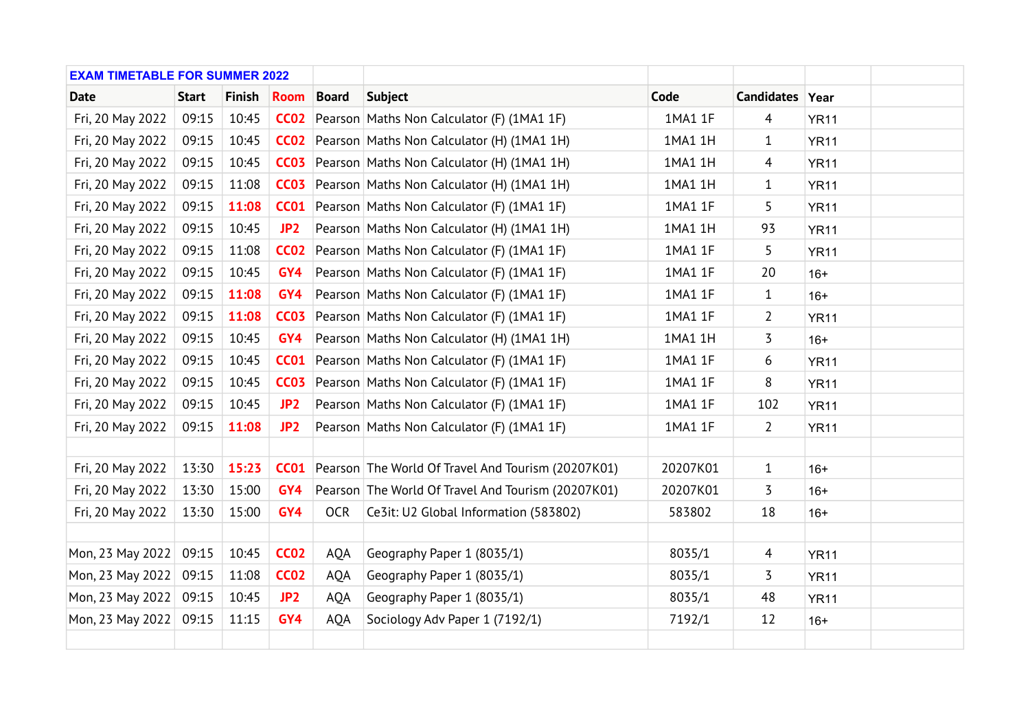| <b>EXAM TIMETABLE FOR SUMMER 2022</b> |              |               |                  |              |                                                                |          |                 |             |  |
|---------------------------------------|--------------|---------------|------------------|--------------|----------------------------------------------------------------|----------|-----------------|-------------|--|
| <b>Date</b>                           | <b>Start</b> | <b>Finish</b> | <b>Room</b>      | <b>Board</b> | <b>Subject</b>                                                 | Code     | Candidates Year |             |  |
| Fri, 20 May 2022                      | 09:15        | 10:45         | CCO2             |              | Pearson Maths Non Calculator (F) (1MA1 1F)                     | 1MA1 1F  | $\overline{4}$  | <b>YR11</b> |  |
| Fri, 20 May 2022                      | 09:15        | 10:45         | CCO2             |              | Pearson Maths Non Calculator (H) (1MA1 1H)                     | 1MA1 1H  | 1               | <b>YR11</b> |  |
| Fri, 20 May 2022                      | 09:15        | 10:45         | CCO <sub>3</sub> |              | Pearson Maths Non Calculator (H) (1MA1 1H)                     | 1MA1 1H  | 4               | <b>YR11</b> |  |
| Fri, 20 May 2022                      | 09:15        | 11:08         | CCO <sub>3</sub> |              | Pearson Maths Non Calculator (H) (1MA1 1H)                     | 1MA1 1H  | $\mathbf{1}$    | <b>YR11</b> |  |
| Fri, 20 May 2022                      | 09:15        | 11:08         | <b>CC01</b>      |              | Pearson Maths Non Calculator (F) (1MA1 1F)                     | 1MA1 1F  | 5               | <b>YR11</b> |  |
| Fri, 20 May 2022                      | 09:15        | 10:45         | JP <sub>2</sub>  |              | Pearson Maths Non Calculator (H) (1MA1 1H)                     | 1MA1 1H  | 93              | <b>YR11</b> |  |
| Fri, 20 May 2022                      | 09:15        | 11:08         | <b>CC02</b>      |              | Pearson Maths Non Calculator (F) (1MA1 1F)                     | 1MA1 1F  | 5               | <b>YR11</b> |  |
| Fri, 20 May 2022                      | 09:15        | 10:45         | GY4              |              | Pearson Maths Non Calculator (F) (1MA1 1F)                     | 1MA1 1F  | 20              | $16+$       |  |
| Fri, 20 May 2022                      | 09:15        | 11:08         | GY4              |              | Pearson Maths Non Calculator (F) (1MA1 1F)                     | 1MA1 1F  | 1               | $16+$       |  |
| Fri, 20 May 2022                      | 09:15        | 11:08         | <b>CC03</b>      |              | Pearson Maths Non Calculator (F) (1MA1 1F)                     | 1MA1 1F  | $\overline{2}$  | <b>YR11</b> |  |
| Fri, 20 May 2022                      | 09:15        | 10:45         | GY4              |              | Pearson Maths Non Calculator (H) (1MA1 1H)                     | 1MA1 1H  | 3               | $16+$       |  |
| Fri, 20 May 2022                      | 09:15        | 10:45         | <b>CC01</b>      |              | Pearson Maths Non Calculator (F) (1MA1 1F)                     | 1MA1 1F  | 6               | <b>YR11</b> |  |
| Fri, 20 May 2022                      | 09:15        | 10:45         | <b>CC03</b>      |              | Pearson Maths Non Calculator (F) (1MA1 1F)                     | 1MA1 1F  | 8               | <b>YR11</b> |  |
| Fri, 20 May 2022                      | 09:15        | 10:45         | JP <sub>2</sub>  |              | Pearson Maths Non Calculator (F) (1MA1 1F)                     | 1MA1 1F  | 102             | <b>YR11</b> |  |
| Fri, 20 May 2022                      | 09:15        | 11:08         | JP <sub>2</sub>  |              | Pearson Maths Non Calculator (F) (1MA1 1F)                     | 1MA1 1F  | $\overline{2}$  | <b>YR11</b> |  |
|                                       |              |               |                  |              |                                                                |          |                 |             |  |
| Fri, 20 May 2022                      | 13:30        | 15:23         |                  |              | <b>CC01</b> Pearson The World Of Travel And Tourism (20207K01) | 20207K01 | $\mathbf{1}$    | $16+$       |  |
| Fri, 20 May 2022                      | 13:30        | 15:00         | GY4              |              | Pearson The World Of Travel And Tourism (20207K01)             | 20207K01 | 3               | $16+$       |  |
| Fri, 20 May 2022                      | 13:30        | 15:00         | GY4              | <b>OCR</b>   | Ce3it: U2 Global Information (583802)                          | 583802   | 18              | $16+$       |  |
|                                       |              |               |                  |              |                                                                |          |                 |             |  |
| Mon, 23 May 2022                      | 09:15        | 10:45         | <b>CC02</b>      | <b>AQA</b>   | Geography Paper 1 (8035/1)                                     | 8035/1   | $\overline{4}$  | <b>YR11</b> |  |
| Mon, 23 May 2022                      | 09:15        | 11:08         | <b>CC02</b>      | AQA          | Geography Paper 1 (8035/1)                                     | 8035/1   | 3               | <b>YR11</b> |  |
| Mon, 23 May 2022                      | 09:15        | 10:45         | JP <sub>2</sub>  | <b>AQA</b>   | Geography Paper 1 (8035/1)                                     | 8035/1   | 48              | <b>YR11</b> |  |
| Mon, 23 May 2022                      | 09:15        | 11:15         | GY4              | <b>AQA</b>   | Sociology Adv Paper 1 (7192/1)                                 | 7192/1   | 12              | $16+$       |  |
|                                       |              |               |                  |              |                                                                |          |                 |             |  |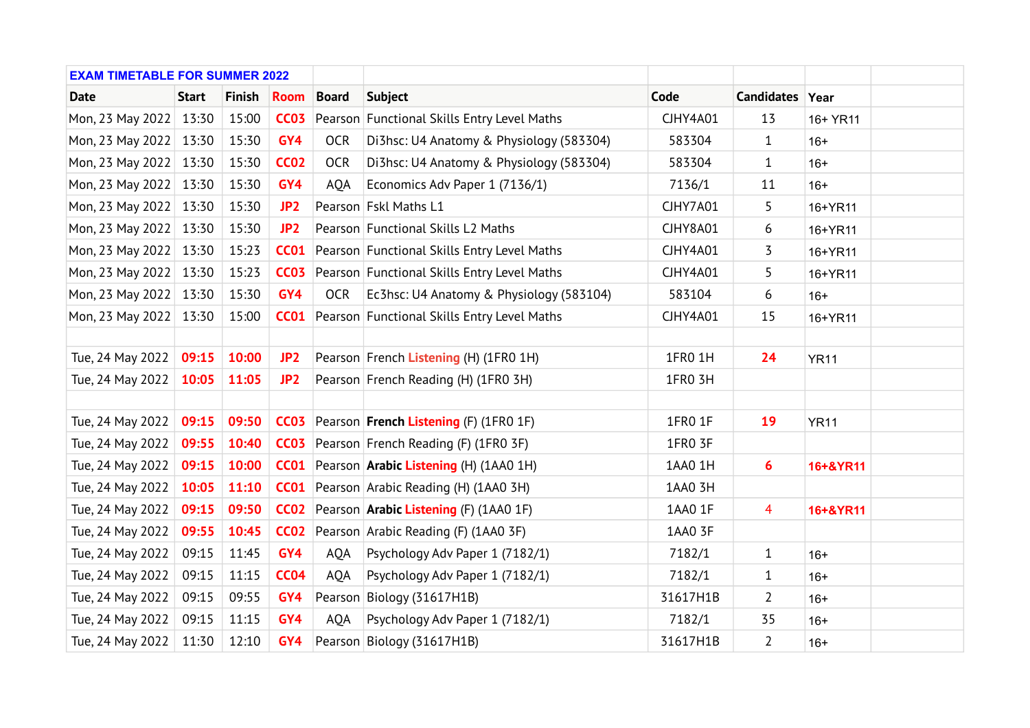| <b>EXAM TIMETABLE FOR SUMMER 2022</b> |              |               |                  |              |                                                    |                 |                 |             |  |
|---------------------------------------|--------------|---------------|------------------|--------------|----------------------------------------------------|-----------------|-----------------|-------------|--|
| <b>Date</b>                           | <b>Start</b> | <b>Finish</b> | <b>Room</b>      | <b>Board</b> | <b>Subject</b>                                     | Code            | Candidates Year |             |  |
| Mon, 23 May 2022 13:30                |              | 15:00         | <b>CC03</b>      |              | Pearson Functional Skills Entry Level Maths        | <b>CJHY4A01</b> | 13              | 16+ YR11    |  |
| Mon, 23 May 2022 13:30                |              | 15:30         | GY4              | <b>OCR</b>   | Di3hsc: U4 Anatomy & Physiology (583304)           | 583304          | $\mathbf{1}$    | $16+$       |  |
| Mon, 23 May 2022 13:30                |              | 15:30         | <b>CC02</b>      | <b>OCR</b>   | Di3hsc: U4 Anatomy & Physiology (583304)           | 583304          | $\mathbf{1}$    | $16+$       |  |
| Mon, 23 May 2022   13:30              |              | 15:30         | GY4              | <b>AQA</b>   | Economics Adv Paper 1 (7136/1)                     | 7136/1          | 11              | $16+$       |  |
| Mon, 23 May 2022 13:30                |              | 15:30         | JP <sub>2</sub>  |              | Pearson Fskl Maths L1                              | <b>CJHY7A01</b> | 5               | 16+YR11     |  |
| Mon, 23 May 2022 13:30                |              | 15:30         | JP <sub>2</sub>  |              | Pearson Functional Skills L2 Maths                 | <b>CJHY8A01</b> | 6               | 16+YR11     |  |
| Mon, 23 May 2022 13:30                |              | 15:23         | CCO1             |              | Pearson Functional Skills Entry Level Maths        | <b>CJHY4A01</b> | 3               | 16+YR11     |  |
| Mon, 23 May 2022 13:30                |              | 15:23         | CCO <sub>3</sub> |              | Pearson Functional Skills Entry Level Maths        | <b>CJHY4A01</b> | 5               | 16+YR11     |  |
| Mon, 23 May 2022 13:30                |              | 15:30         | GY4              | <b>OCR</b>   | Ec3hsc: U4 Anatomy & Physiology (583104)           | 583104          | 6               | $16+$       |  |
| Mon, 23 May 2022 13:30                |              | 15:00         | <b>CC01</b>      |              | Pearson Functional Skills Entry Level Maths        | <b>CJHY4A01</b> | 15              | 16+YR11     |  |
|                                       |              |               |                  |              |                                                    |                 |                 |             |  |
| Tue, 24 May 2022                      | 09:15        | 10:00         | JP <sub>2</sub>  |              | Pearson French Listening (H) (1FR0 1H)             | 1FR0 1H         | 24              | <b>YR11</b> |  |
| Tue, 24 May 2022                      | 10:05        | 11:05         | JP <sub>2</sub>  |              | Pearson French Reading (H) (1FR0 3H)               | 1FR0 3H         |                 |             |  |
|                                       |              |               |                  |              |                                                    |                 |                 |             |  |
| Tue, 24 May 2022                      | 09:15        | 09:50         |                  |              | <b>CC03</b> Pearson French Listening (F) (1FR0 1F) | 1FR0 1F         | 19              | <b>YR11</b> |  |
| Tue, 24 May 2022                      | 09:55        | 10:40         |                  |              | <b>CC03</b> Pearson French Reading (F) (1FRO 3F)   | 1FR0 3F         |                 |             |  |
| Tue, 24 May 2022                      | 09:15        | 10:00         |                  |              | <b>CC01</b> Pearson Arabic Listening (H) (1AA0 1H) | 1AA0 1H         | $6\phantom{1}6$ | 16+&YR11    |  |
| Tue, 24 May 2022                      | 10:05        | 11:10         |                  |              | <b>CC01</b> Pearson Arabic Reading (H) (1AA0 3H)   | 1AA0 3H         |                 |             |  |
| Tue, 24 May 2022                      | 09:15        | 09:50         |                  |              | <b>CC02</b> Pearson Arabic Listening (F) (1AA0 1F) | 1AA0 1F         | $\overline{4}$  | 16+&YR11    |  |
| Tue, 24 May 2022                      | 09:55        | 10:45         |                  |              | <b>CC02</b> Pearson Arabic Reading (F) (1AA0 3F)   | 1AA0 3F         |                 |             |  |
| Tue, 24 May 2022                      | 09:15        | 11:45         | GY4              | <b>AQA</b>   | Psychology Adv Paper 1 (7182/1)                    | 7182/1          | $\mathbf{1}$    | $16+$       |  |
| Tue, 24 May 2022                      | 09:15        | 11:15         | <b>CC04</b>      | <b>AQA</b>   | Psychology Adv Paper 1 (7182/1)                    | 7182/1          | $\mathbf{1}$    | $16+$       |  |
| Tue, 24 May 2022                      | 09:15        | 09:55         | GY4              |              | Pearson Biology (31617H1B)                         | 31617H1B        | $\overline{2}$  | $16+$       |  |
| Tue, 24 May 2022                      | 09:15        | 11:15         | GY4              | <b>AQA</b>   | Psychology Adv Paper 1 (7182/1)                    | 7182/1          | 35              | $16+$       |  |
| Tue, 24 May 2022                      | 11:30        | 12:10         | GY4              |              | Pearson Biology (31617H1B)                         | 31617H1B        | $\overline{2}$  | $16+$       |  |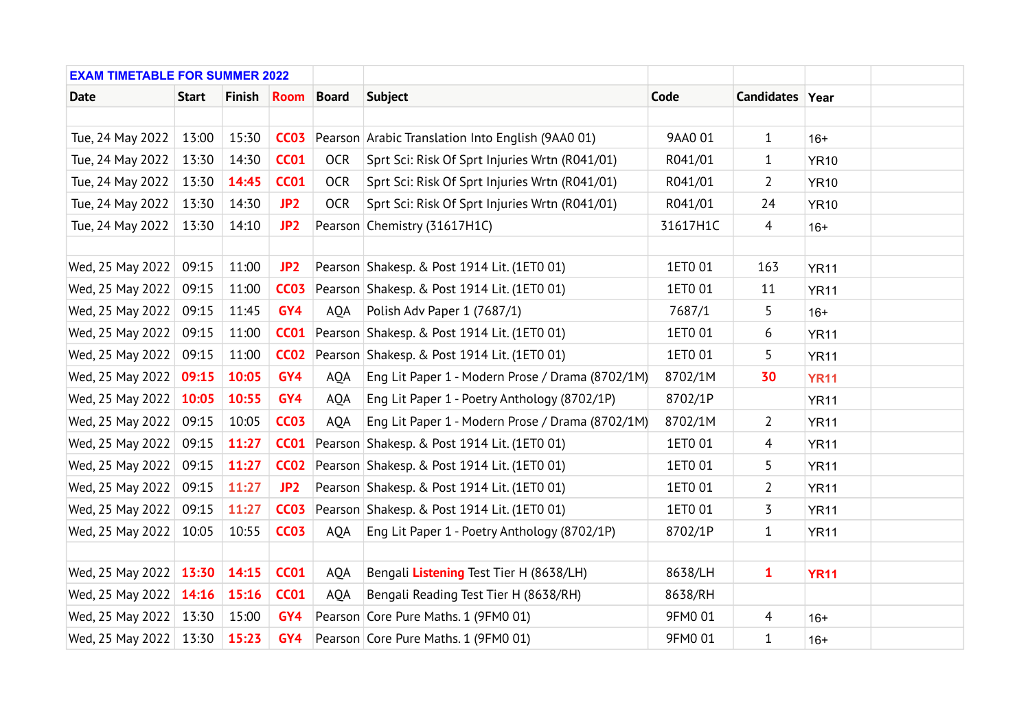| <b>EXAM TIMETABLE FOR SUMMER 2022</b> |              |               |                  |              |                                                               |          |                 |             |  |
|---------------------------------------|--------------|---------------|------------------|--------------|---------------------------------------------------------------|----------|-----------------|-------------|--|
| <b>Date</b>                           | <b>Start</b> | <b>Finish</b> | <b>Room</b>      | <b>Board</b> | <b>Subject</b>                                                | Code     | Candidates Year |             |  |
|                                       |              |               |                  |              |                                                               |          |                 |             |  |
| Tue, 24 May 2022                      | 13:00        | 15:30         |                  |              | <b>CC03</b> Pearson Arabic Translation Into English (9AA0 01) | 9AA0 01  | $\mathbf{1}$    | $16+$       |  |
| Tue, 24 May 2022                      | 13:30        | 14:30         | <b>CC01</b>      | <b>OCR</b>   | Sprt Sci: Risk Of Sprt Injuries Wrtn (R041/01)                | R041/01  | $\mathbf{1}$    | <b>YR10</b> |  |
| Tue, 24 May 2022                      | 13:30        | 14:45         | <b>CC01</b>      | <b>OCR</b>   | Sprt Sci: Risk Of Sprt Injuries Wrtn (R041/01)                | R041/01  | $\overline{2}$  | <b>YR10</b> |  |
| Tue, 24 May 2022                      | 13:30        | 14:30         | JP <sub>2</sub>  | <b>OCR</b>   | Sprt Sci: Risk Of Sprt Injuries Wrtn (R041/01)                | R041/01  | 24              | <b>YR10</b> |  |
| Tue, 24 May 2022                      | 13:30        | 14:10         | JP <sub>2</sub>  |              | Pearson Chemistry (31617H1C)                                  | 31617H1C | $\overline{4}$  | $16+$       |  |
|                                       |              |               |                  |              |                                                               |          |                 |             |  |
| Wed, 25 May 2022                      | 09:15        | 11:00         | JP <sub>2</sub>  |              | Pearson Shakesp. & Post 1914 Lit. (1ETO 01)                   | 1ET0 01  | 163             | <b>YR11</b> |  |
| Wed, 25 May 2022                      | 09:15        | 11:00         | CCO <sub>3</sub> |              | Pearson Shakesp. & Post 1914 Lit. (1ETO 01)                   | 1ET0 01  | 11              | <b>YR11</b> |  |
| Wed, 25 May 2022                      | 09:15        | 11:45         | GY4              | <b>AQA</b>   | Polish Adv Paper 1 (7687/1)                                   | 7687/1   | 5               | $16+$       |  |
| Wed, 25 May 2022                      | 09:15        | 11:00         | <b>CC01</b>      |              | Pearson Shakesp. & Post 1914 Lit. (1ETO 01)                   | 1ET0 01  | 6               | <b>YR11</b> |  |
| Wed, 25 May 2022                      | 09:15        | 11:00         | CCO2             |              | Pearson Shakesp. & Post 1914 Lit. (1ETO 01)                   | 1ET0 01  | 5               | <b>YR11</b> |  |
| Wed, 25 May 2022                      | 09:15        | 10:05         | GY4              | <b>AQA</b>   | Eng Lit Paper 1 - Modern Prose / Drama (8702/1M)              | 8702/1M  | 30              | <b>YR11</b> |  |
| Wed, 25 May 2022                      | 10:05        | 10:55         | GY4              | <b>AQA</b>   | Eng Lit Paper 1 - Poetry Anthology (8702/1P)                  | 8702/1P  |                 | <b>YR11</b> |  |
| Wed, 25 May 2022                      | 09:15        | 10:05         | <b>CC03</b>      | AQA          | Eng Lit Paper 1 - Modern Prose / Drama (8702/1M)              | 8702/1M  | $\overline{2}$  | <b>YR11</b> |  |
| Wed, 25 May 2022                      | 09:15        | 11:27         | <b>CC01</b>      |              | Pearson Shakesp. & Post 1914 Lit. (1ETO 01)                   | 1ET0 01  | 4               | <b>YR11</b> |  |
| Wed, 25 May 2022                      | 09:15        | 11:27         | <b>CC02</b>      |              | Pearson Shakesp. & Post 1914 Lit. (1ETO 01)                   | 1ET0 01  | 5               | <b>YR11</b> |  |
| Wed, 25 May 2022                      | 09:15        | 11:27         | JP <sub>2</sub>  |              | Pearson Shakesp. & Post 1914 Lit. (1ETO 01)                   | 1ET0 01  | $\overline{2}$  | <b>YR11</b> |  |
| Wed, 25 May 2022                      | 09:15        | 11:27         | <b>CC03</b>      |              | Pearson Shakesp. & Post 1914 Lit. (1ETO 01)                   | 1ET0 01  | 3               | <b>YR11</b> |  |
| Wed, 25 May 2022                      | 10:05        | 10:55         | <b>CC03</b>      | <b>AQA</b>   | Eng Lit Paper 1 - Poetry Anthology (8702/1P)                  | 8702/1P  | $\mathbf{1}$    | <b>YR11</b> |  |
|                                       |              |               |                  |              |                                                               |          |                 |             |  |
| Wed, 25 May 2022 13:30                |              | 14:15         | <b>CC01</b>      | <b>AQA</b>   | Bengali Listening Test Tier H (8638/LH)                       | 8638/LH  | $\mathbf{1}$    | <b>YR11</b> |  |
| Wed, 25 May 2022   14:16              |              | 15:16         | <b>CC01</b>      | <b>AQA</b>   | Bengali Reading Test Tier H (8638/RH)                         | 8638/RH  |                 |             |  |
| Wed, 25 May 2022   13:30              |              | 15:00         | GY4              |              | Pearson Core Pure Maths. 1 (9FM0 01)                          | 9FM0 01  | $\overline{4}$  | $16+$       |  |
| Wed, 25 May 2022   13:30              |              | 15:23         | GY4              |              | Pearson Core Pure Maths. 1 (9FM0 01)                          | 9FM0 01  | $\mathbf{1}$    | $16+$       |  |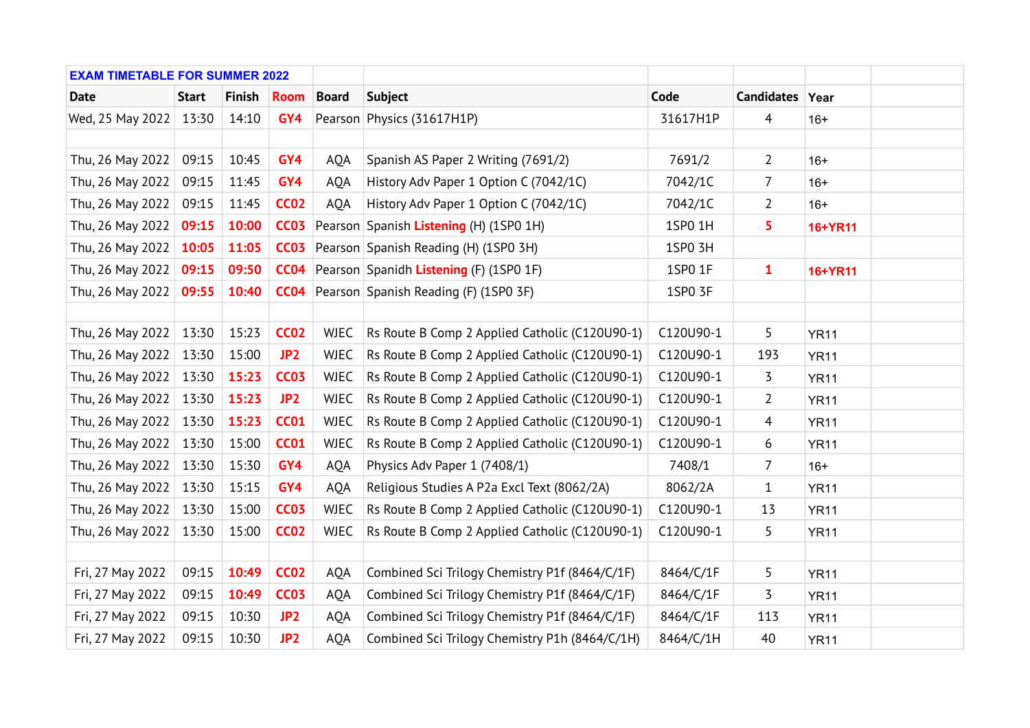| <b>EXAM TIMETABLE FOR SUMMER 2022</b> |              |               |                 |              |                                                   |           |                 |             |  |
|---------------------------------------|--------------|---------------|-----------------|--------------|---------------------------------------------------|-----------|-----------------|-------------|--|
| <b>Date</b>                           | <b>Start</b> | <b>Finish</b> | <b>Room</b>     | <b>Board</b> | <b>Subject</b>                                    | Code      | Candidates Year |             |  |
| Wed, 25 May 2022   13:30              |              | 14:10         | GY4             |              | Pearson Physics (31617H1P)                        | 31617H1P  | $\overline{4}$  | $16+$       |  |
|                                       |              |               |                 |              |                                                   |           |                 |             |  |
| Thu, 26 May 2022                      | 09:15        | 10:45         | GY4             | <b>AOA</b>   | Spanish AS Paper 2 Writing (7691/2)               | 7691/2    | 2               | $16+$       |  |
| Thu, 26 May 2022                      | 09:15        | 11:45         | GY4             | <b>AQA</b>   | History Adv Paper 1 Option C (7042/1C)            | 7042/1C   | 7               | $16+$       |  |
| Thu, 26 May 2022                      | 09:15        | 11:45         | <b>CC02</b>     | <b>AQA</b>   | History Adv Paper 1 Option C (7042/1C)            | 7042/1C   | $\overline{2}$  | $16+$       |  |
| Thu, 26 May 2022                      | 09:15        | 10:00         | <b>CC03</b>     |              | Pearson Spanish Listening (H) (1SP0 1H)           | 1SP0 1H   | 5               | 16+YR11     |  |
| Thu, 26 May 2022                      | 10:05        | 11:05         | <b>CC03</b>     |              | Pearson Spanish Reading (H) (1SP0 3H)             | 1SP0 3H   |                 |             |  |
| Thu, 26 May 2022                      | 09:15        | 09:50         | CCO4            |              | Pearson Spanidh Listening (F) (1SP0 1F)           | 1SP0 1F   | $\mathbf{1}$    | 16+YR11     |  |
| Thu, 26 May 2022                      | 09:55        | 10:40         |                 |              | <b>CC04</b> Pearson Spanish Reading (F) (1SP0 3F) | 1SP0 3F   |                 |             |  |
|                                       |              |               |                 |              |                                                   |           |                 |             |  |
| Thu, 26 May 2022                      | 13:30        | 15:23         | <b>CC02</b>     | <b>WJEC</b>  | Rs Route B Comp 2 Applied Catholic (C120U90-1)    | C120U90-1 | 5               | <b>YR11</b> |  |
| Thu, 26 May 2022                      | 13:30        | 15:00         | JP <sub>2</sub> | <b>WJEC</b>  | Rs Route B Comp 2 Applied Catholic (C120U90-1)    | C120U90-1 | 193             | <b>YR11</b> |  |
| Thu, 26 May 2022                      | 13:30        | 15:23         | <b>CC03</b>     | <b>WJEC</b>  | Rs Route B Comp 2 Applied Catholic (C120U90-1)    | C120U90-1 | 3               | <b>YR11</b> |  |
| Thu, 26 May 2022                      | 13:30        | 15:23         | JP <sub>2</sub> | <b>WJEC</b>  | Rs Route B Comp 2 Applied Catholic (C120U90-1)    | C120U90-1 | $\overline{2}$  | <b>YR11</b> |  |
| Thu, 26 May 2022                      | 13:30        | 15:23         | <b>CC01</b>     | <b>WJEC</b>  | Rs Route B Comp 2 Applied Catholic (C120U90-1)    | C120U90-1 | 4               | <b>YR11</b> |  |
| Thu, 26 May 2022                      | 13:30        | 15:00         | <b>CC01</b>     | <b>WJEC</b>  | Rs Route B Comp 2 Applied Catholic (C120U90-1)    | C120U90-1 | 6               | <b>YR11</b> |  |
| Thu, 26 May 2022                      | 13:30        | 15:30         | GY4             | <b>AQA</b>   | Physics Adv Paper 1 (7408/1)                      | 7408/1    | 7               | $16+$       |  |
| Thu, 26 May 2022                      | 13:30        | 15:15         | GY4             | <b>AQA</b>   | Religious Studies A P2a Excl Text (8062/2A)       | 8062/2A   | $\mathbf{1}$    | <b>YR11</b> |  |
| Thu, 26 May 2022                      | 13:30        | 15:00         | <b>CC03</b>     | <b>WJEC</b>  | Rs Route B Comp 2 Applied Catholic (C120U90-1)    | C120U90-1 | 13              | <b>YR11</b> |  |
| Thu, 26 May 2022                      | 13:30        | 15:00         | <b>CC02</b>     | <b>WJEC</b>  | Rs Route B Comp 2 Applied Catholic (C120U90-1)    | C120U90-1 | 5               | <b>YR11</b> |  |
|                                       |              |               |                 |              |                                                   |           |                 |             |  |
| Fri, 27 May 2022                      | 09:15        | 10:49         | <b>CC02</b>     | AQA          | Combined Sci Trilogy Chemistry P1f (8464/C/1F)    | 8464/C/1F | 5               | <b>YR11</b> |  |
| Fri, 27 May 2022                      | 09:15        | 10:49         | <b>CC03</b>     | AQA          | Combined Sci Trilogy Chemistry P1f (8464/C/1F)    | 8464/C/1F | 3               | <b>YR11</b> |  |
| Fri, 27 May 2022                      | 09:15        | 10:30         | JP <sub>2</sub> | AQA          | Combined Sci Trilogy Chemistry P1f (8464/C/1F)    | 8464/C/1F | 113             | <b>YR11</b> |  |
| Fri, 27 May 2022                      | 09:15        | 10:30         | JP <sub>2</sub> | <b>AQA</b>   | Combined Sci Trilogy Chemistry P1h (8464/C/1H)    | 8464/C/1H | 40              | <b>YR11</b> |  |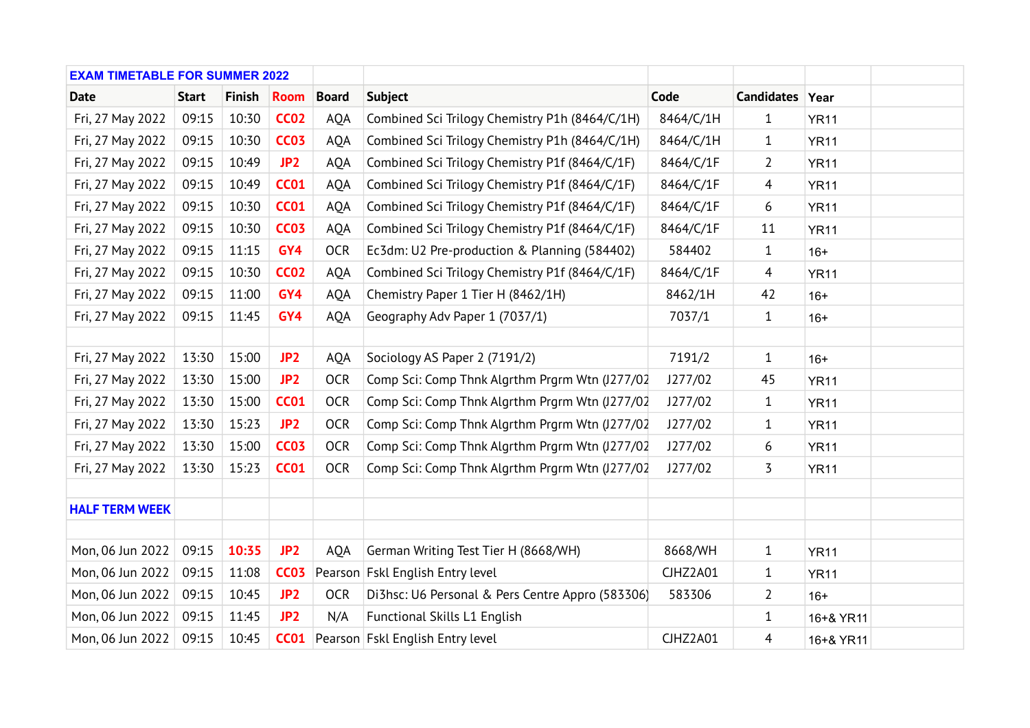| <b>EXAM TIMETABLE FOR SUMMER 2022</b> |              |               |                 |              |                                                  |           |                 |             |  |
|---------------------------------------|--------------|---------------|-----------------|--------------|--------------------------------------------------|-----------|-----------------|-------------|--|
| <b>Date</b>                           | <b>Start</b> | <b>Finish</b> | <b>Room</b>     | <b>Board</b> | <b>Subject</b>                                   | Code      | Candidates Year |             |  |
| Fri, 27 May 2022                      | 09:15        | 10:30         | <b>CC02</b>     | AQA          | Combined Sci Trilogy Chemistry P1h (8464/C/1H)   | 8464/C/1H | $\mathbf{1}$    | <b>YR11</b> |  |
| Fri, 27 May 2022                      | 09:15        | 10:30         | <b>CC03</b>     | AQA          | Combined Sci Trilogy Chemistry P1h (8464/C/1H)   | 8464/C/1H | $\mathbf{1}$    | <b>YR11</b> |  |
| Fri, 27 May 2022                      | 09:15        | 10:49         | JP <sub>2</sub> | <b>AQA</b>   | Combined Sci Trilogy Chemistry P1f (8464/C/1F)   | 8464/C/1F | 2               | <b>YR11</b> |  |
| Fri, 27 May 2022                      | 09:15        | 10:49         | <b>CC01</b>     | <b>AQA</b>   | Combined Sci Trilogy Chemistry P1f (8464/C/1F)   | 8464/C/1F | $\overline{4}$  | <b>YR11</b> |  |
| Fri, 27 May 2022                      | 09:15        | 10:30         | <b>CC01</b>     | AQA          | Combined Sci Trilogy Chemistry P1f (8464/C/1F)   | 8464/C/1F | 6               | <b>YR11</b> |  |
| Fri, 27 May 2022                      | 09:15        | 10:30         | <b>CC03</b>     | AQA          | Combined Sci Trilogy Chemistry P1f (8464/C/1F)   | 8464/C/1F | 11              | <b>YR11</b> |  |
| Fri, 27 May 2022                      | 09:15        | 11:15         | GY4             | <b>OCR</b>   | Ec3dm: U2 Pre-production & Planning (584402)     | 584402    | $\mathbf{1}$    | $16+$       |  |
| Fri, 27 May 2022                      | 09:15        | 10:30         | <b>CC02</b>     | <b>AQA</b>   | Combined Sci Trilogy Chemistry P1f (8464/C/1F)   | 8464/C/1F | $\overline{4}$  | <b>YR11</b> |  |
| Fri, 27 May 2022                      | 09:15        | 11:00         | GY4             | AQA          | Chemistry Paper 1 Tier H (8462/1H)               | 8462/1H   | 42              | $16+$       |  |
| Fri, 27 May 2022                      | 09:15        | 11:45         | GY4             | <b>AQA</b>   | Geography Adv Paper 1 (7037/1)                   | 7037/1    | $\mathbf{1}$    | $16+$       |  |
|                                       |              |               |                 |              |                                                  |           |                 |             |  |
| Fri, 27 May 2022                      | 13:30        | 15:00         | JP <sub>2</sub> | <b>AQA</b>   | Sociology AS Paper 2 (7191/2)                    | 7191/2    | $\mathbf{1}$    | $16+$       |  |
| Fri, 27 May 2022                      | 13:30        | 15:00         | JP <sub>2</sub> | <b>OCR</b>   | Comp Sci: Comp Thnk Algrthm Prgrm Wtn (J277/02   | J277/02   | 45              | <b>YR11</b> |  |
| Fri, 27 May 2022                      | 13:30        | 15:00         | <b>CC01</b>     | <b>OCR</b>   | Comp Sci: Comp Thnk Algrthm Prgrm Wtn (J277/02   | J277/02   | $\mathbf{1}$    | <b>YR11</b> |  |
| Fri, 27 May 2022                      | 13:30        | 15:23         | JP <sub>2</sub> | <b>OCR</b>   | Comp Sci: Comp Thnk Algrthm Prgrm Wtn (J277/02   | J277/02   | $\mathbf{1}$    | <b>YR11</b> |  |
| Fri, 27 May 2022                      | 13:30        | 15:00         | <b>CC03</b>     | <b>OCR</b>   | Comp Sci: Comp Thnk Algrthm Prgrm Wtn (J277/02   | J277/02   | 6               | <b>YR11</b> |  |
| Fri, 27 May 2022                      | 13:30        | 15:23         | <b>CC01</b>     | <b>OCR</b>   | Comp Sci: Comp Thnk Algrthm Prgrm Wtn (J277/02   | J277/02   | 3               | <b>YR11</b> |  |
|                                       |              |               |                 |              |                                                  |           |                 |             |  |
| <b>HALF TERM WEEK</b>                 |              |               |                 |              |                                                  |           |                 |             |  |
|                                       |              |               |                 |              |                                                  |           |                 |             |  |
| Mon, 06 Jun 2022                      | 09:15        | 10:35         | JP <sub>2</sub> | <b>AQA</b>   | German Writing Test Tier H (8668/WH)             | 8668/WH   | $\mathbf{1}$    | <b>YR11</b> |  |
| Mon, 06 Jun 2022                      | 09:15        | 11:08         | <b>CC03</b>     |              | Pearson Fskl English Entry level                 | CJHZ2A01  | $\mathbf{1}$    | <b>YR11</b> |  |
| Mon, 06 Jun 2022                      | 09:15        | 10:45         | JP <sub>2</sub> | <b>OCR</b>   | Di3hsc: U6 Personal & Pers Centre Appro (583306) | 583306    | $\overline{2}$  | $16+$       |  |
| Mon, 06 Jun 2022                      | 09:15        | 11:45         | JP <sub>2</sub> | N/A          | Functional Skills L1 English                     |           | 1               | 16+& YR11   |  |
| Mon, 06 Jun 2022                      | 09:15        | 10:45         |                 |              | <b>CC01</b> Pearson Fskl English Entry level     | CJHZ2A01  | $\overline{4}$  | 16+& YR11   |  |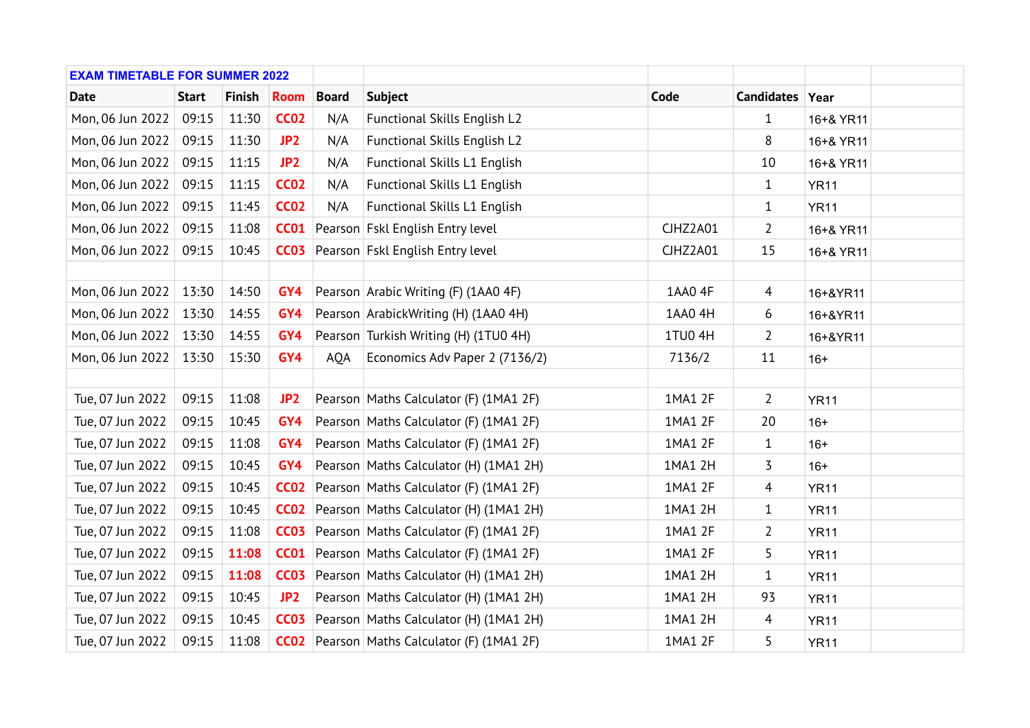| <b>EXAM TIMETABLE FOR SUMMER 2022</b> |              |               |                  |              |                                                    |          |                 |             |  |
|---------------------------------------|--------------|---------------|------------------|--------------|----------------------------------------------------|----------|-----------------|-------------|--|
| <b>Date</b>                           | <b>Start</b> | <b>Finish</b> | <b>Room</b>      | <b>Board</b> | <b>Subject</b>                                     | Code     | Candidates Year |             |  |
| Mon, 06 Jun 2022                      | 09:15        | 11:30         | <b>CC02</b>      | N/A          | Functional Skills English L2                       |          | $\mathbf{1}$    | 16+& YR11   |  |
| Mon, 06 Jun 2022                      | 09:15        | 11:30         | JP <sub>2</sub>  | N/A          | Functional Skills English L2                       |          | 8               | 16+& YR11   |  |
| Mon, 06 Jun 2022                      | 09:15        | 11:15         | JP <sub>2</sub>  | N/A          | Functional Skills L1 English                       |          | 10              | 16+& YR11   |  |
| Mon, 06 Jun 2022                      | 09:15        | 11:15         | <b>CC02</b>      | N/A          | Functional Skills L1 English                       |          | $\mathbf{1}$    | <b>YR11</b> |  |
| Mon, 06 Jun 2022                      | 09:15        | 11:45         | <b>CC02</b>      | N/A          | <b>Functional Skills L1 English</b>                |          | $\mathbf{1}$    | <b>YR11</b> |  |
| Mon, 06 Jun 2022                      | 09:15        | 11:08         |                  |              | <b>CC01</b> Pearson Fskl English Entry level       | CJHZ2A01 | $\overline{2}$  | 16+& YR11   |  |
| Mon, 06 Jun 2022                      | 09:15        | 10:45         |                  |              | <b>CC03</b> Pearson Fskl English Entry level       | CJHZ2A01 | 15              | 16+& YR11   |  |
|                                       |              |               |                  |              |                                                    |          |                 |             |  |
| Mon, 06 Jun 2022                      | 13:30        | 14:50         | GY4              |              | Pearson Arabic Writing (F) (1AA0 4F)               | 1AA0 4F  | $\overline{4}$  | 16+&YR11    |  |
| Mon, 06 Jun 2022                      | 13:30        | 14:55         | GY4              |              | Pearson ArabickWriting (H) (1AA0 4H)               | 1AA0 4H  | 6               | 16+&YR11    |  |
| Mon, 06 Jun 2022                      | 13:30        | 14:55         | GY4              |              | Pearson Turkish Writing (H) (1TU0 4H)              | 1TU0 4H  | 2               | 16+&YR11    |  |
| Mon, 06 Jun 2022                      | 13:30        | 15:30         | GY4              | <b>AQA</b>   | Economics Adv Paper 2 (7136/2)                     | 7136/2   | 11              | $16+$       |  |
|                                       |              |               |                  |              |                                                    |          |                 |             |  |
| Tue, 07 Jun 2022                      | 09:15        | 11:08         | JP2              |              | Pearson Maths Calculator (F) (1MA1 2F)             | 1MA1 2F  | $\overline{2}$  | <b>YR11</b> |  |
| Tue, 07 Jun 2022                      | 09:15        | 10:45         | GY4              |              | Pearson Maths Calculator (F) (1MA1 2F)             | 1MA1 2F  | 20              | $16+$       |  |
| Tue, 07 Jun 2022                      | 09:15        | 11:08         | GY4              |              | Pearson Maths Calculator (F) (1MA1 2F)             | 1MA1 2F  | $\mathbf{1}$    | $16+$       |  |
| Tue, 07 Jun 2022                      | 09:15        | 10:45         | GY4              |              | Pearson Maths Calculator (H) (1MA1 2H)             | 1MA1 2H  | 3               | $16+$       |  |
| Tue, 07 Jun 2022                      | 09:15        | 10:45         | CCO2             |              | Pearson Maths Calculator (F) (1MA1 2F)             | 1MA1 2F  | $\overline{4}$  | <b>YR11</b> |  |
| Tue, 07 Jun 2022                      | 09:15        | 10:45         | CCO2             |              | Pearson Maths Calculator (H) (1MA1 2H)             | 1MA1 2H  | $\mathbf{1}$    | <b>YR11</b> |  |
| Tue, 07 Jun 2022                      | 09:15        | 11:08         | CCO <sub>3</sub> |              | Pearson Maths Calculator (F) (1MA1 2F)             | 1MA1 2F  | 2               | <b>YR11</b> |  |
| Tue, 07 Jun 2022                      | 09:15        | 11:08         |                  |              | <b>CC01</b> Pearson Maths Calculator (F) (1MA1 2F) | 1MA1 2F  | 5               | <b>YR11</b> |  |
| Tue, 07 Jun 2022                      | 09:15        | 11:08         | <b>CC03</b>      |              | Pearson Maths Calculator (H) (1MA1 2H)             | 1MA1 2H  | $\mathbf{1}$    | <b>YR11</b> |  |
| Tue, 07 Jun 2022                      | 09:15        | 10:45         | JP <sub>2</sub>  |              | Pearson Maths Calculator (H) (1MA1 2H)             | 1MA1 2H  | 93              | <b>YR11</b> |  |
| Tue, 07 Jun 2022                      | 09:15        | 10:45         |                  |              | CC03 Pearson Maths Calculator (H) (1MA1 2H)        | 1MA1 2H  | $\overline{4}$  | <b>YR11</b> |  |
| Tue, 07 Jun 2022                      | 09:15        | 11:08         |                  |              | <b>CC02</b> Pearson Maths Calculator (F) (1MA1 2F) | 1MA1 2F  | 5               | <b>YR11</b> |  |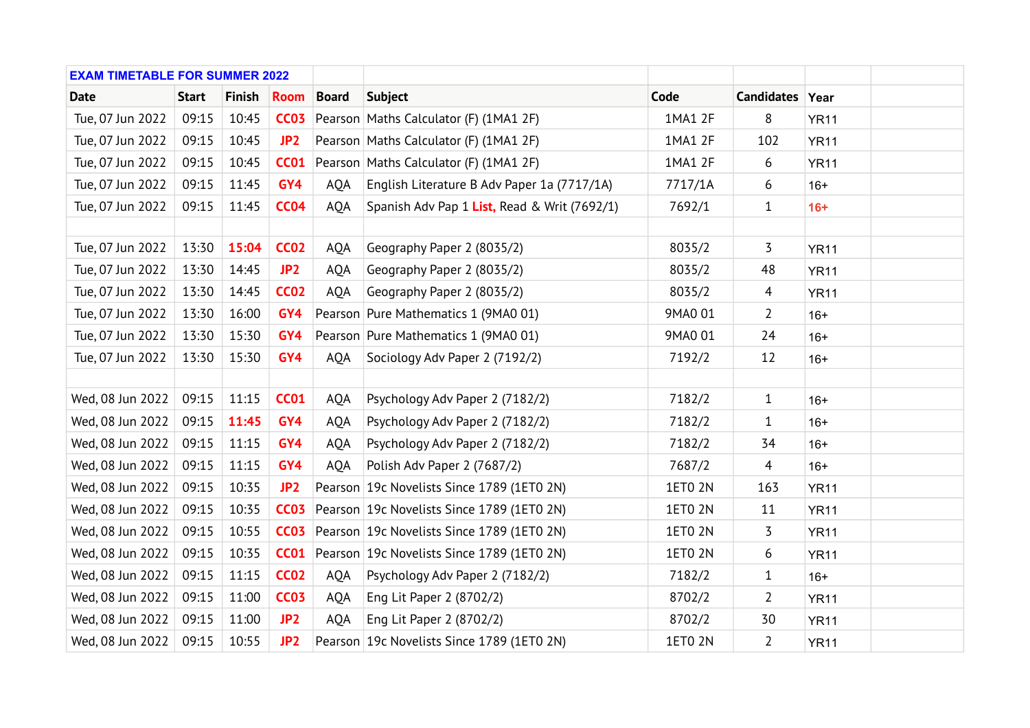| <b>EXAM TIMETABLE FOR SUMMER 2022</b> |              |               |                 |              |                                              |                |                 |             |  |
|---------------------------------------|--------------|---------------|-----------------|--------------|----------------------------------------------|----------------|-----------------|-------------|--|
| <b>Date</b>                           | <b>Start</b> | <b>Finish</b> | <b>Room</b>     | <b>Board</b> | <b>Subject</b>                               | Code           | Candidates Year |             |  |
| Tue, 07 Jun 2022                      | 09:15        | 10:45         | <b>CC03</b>     |              | Pearson Maths Calculator (F) (1MA1 2F)       | 1MA1 2F        | 8               | <b>YR11</b> |  |
| Tue, 07 Jun 2022                      | 09:15        | 10:45         | JP2             |              | Pearson Maths Calculator (F) (1MA1 2F)       | 1MA1 2F        | 102             | <b>YR11</b> |  |
| Tue, 07 Jun 2022                      | 09:15        | 10:45         | <b>CC01</b>     |              | Pearson Maths Calculator (F) (1MA1 2F)       | 1MA1 2F        | 6               | <b>YR11</b> |  |
| Tue, 07 Jun 2022                      | 09:15        | 11:45         | GY4             | AQA          | English Literature B Adv Paper 1a (7717/1A)  | 7717/1A        | 6               | $16+$       |  |
| Tue, 07 Jun 2022                      | 09:15        | 11:45         | <b>CC04</b>     | <b>AQA</b>   | Spanish Adv Pap 1 List, Read & Writ (7692/1) | 7692/1         | $\mathbf{1}$    | $16+$       |  |
|                                       |              |               |                 |              |                                              |                |                 |             |  |
| Tue, 07 Jun 2022                      | 13:30        | 15:04         | <b>CC02</b>     | AQA          | Geography Paper 2 (8035/2)                   | 8035/2         | 3               | <b>YR11</b> |  |
| Tue, 07 Jun 2022                      | 13:30        | 14:45         | JP <sub>2</sub> | <b>AQA</b>   | Geography Paper 2 (8035/2)                   | 8035/2         | 48              | <b>YR11</b> |  |
| Tue, 07 Jun 2022                      | 13:30        | 14:45         | <b>CC02</b>     | <b>AQA</b>   | Geography Paper 2 (8035/2)                   | 8035/2         | $\overline{4}$  | <b>YR11</b> |  |
| Tue, 07 Jun 2022                      | 13:30        | 16:00         | GY4             |              | Pearson Pure Mathematics 1 (9MA0 01)         | 9MA0 01        | $\overline{2}$  | $16+$       |  |
| Tue, 07 Jun 2022                      | 13:30        | 15:30         | GY4             |              | Pearson Pure Mathematics 1 (9MA0 01)         | 9MA0 01        | 24              | $16+$       |  |
| Tue, 07 Jun 2022                      | 13:30        | 15:30         | GY4             | <b>AQA</b>   | Sociology Adv Paper 2 (7192/2)               | 7192/2         | 12              | $16+$       |  |
|                                       |              |               |                 |              |                                              |                |                 |             |  |
| Wed, 08 Jun 2022                      | 09:15        | 11:15         | <b>CC01</b>     | AQA          | Psychology Adv Paper 2 (7182/2)              | 7182/2         | $\mathbf{1}$    | $16+$       |  |
| Wed, 08 Jun 2022                      | 09:15        | 11:45         | GY4             | <b>AQA</b>   | Psychology Adv Paper 2 (7182/2)              | 7182/2         | 1               | $16+$       |  |
| Wed, 08 Jun 2022                      | 09:15        | 11:15         | GY4             | AQA          | Psychology Adv Paper 2 (7182/2)              | 7182/2         | 34              | $16+$       |  |
| Wed, 08 Jun 2022                      | 09:15        | 11:15         | GY4             | AQA          | Polish Adv Paper 2 (7687/2)                  | 7687/2         | $\overline{4}$  | $16+$       |  |
| Wed, 08 Jun 2022                      | 09:15        | 10:35         | JP <sub>2</sub> |              | Pearson 19c Novelists Since 1789 (1ET0 2N)   | 1ET0 2N        | 163             | <b>YR11</b> |  |
| Wed, 08 Jun 2022                      | 09:15        | 10:35         | <b>CC03</b>     |              | Pearson 19c Novelists Since 1789 (1ET0 2N)   | <b>1ETO 2N</b> | 11              | <b>YR11</b> |  |
| Wed, 08 Jun 2022                      | 09:15        | 10:55         | <b>CC03</b>     |              | Pearson 19c Novelists Since 1789 (1ET0 2N)   | <b>1ETO 2N</b> | 3               | <b>YR11</b> |  |
| Wed, 08 Jun 2022                      | 09:15        | 10:35         | <b>CC01</b>     |              | Pearson   19c Novelists Since 1789 (1ET0 2N) | <b>1ETO 2N</b> | 6               | <b>YR11</b> |  |
| Wed, 08 Jun 2022                      | 09:15        | 11:15         | <b>CC02</b>     | AQA          | Psychology Adv Paper 2 (7182/2)              | 7182/2         | 1               | $16+$       |  |
| Wed, 08 Jun 2022                      | 09:15        | 11:00         | <b>CC03</b>     | AQA          | Eng Lit Paper 2 (8702/2)                     | 8702/2         | $\overline{2}$  | <b>YR11</b> |  |
| Wed, 08 Jun 2022                      | 09:15        | 11:00         | JP <sub>2</sub> | AQA          | Eng Lit Paper 2 (8702/2)                     | 8702/2         | 30              | <b>YR11</b> |  |
| Wed, 08 Jun 2022                      | 09:15        | 10:55         | JP <sub>2</sub> |              | Pearson 19c Novelists Since 1789 (1ET0 2N)   | <b>1ETO 2N</b> | $\overline{2}$  | <b>YR11</b> |  |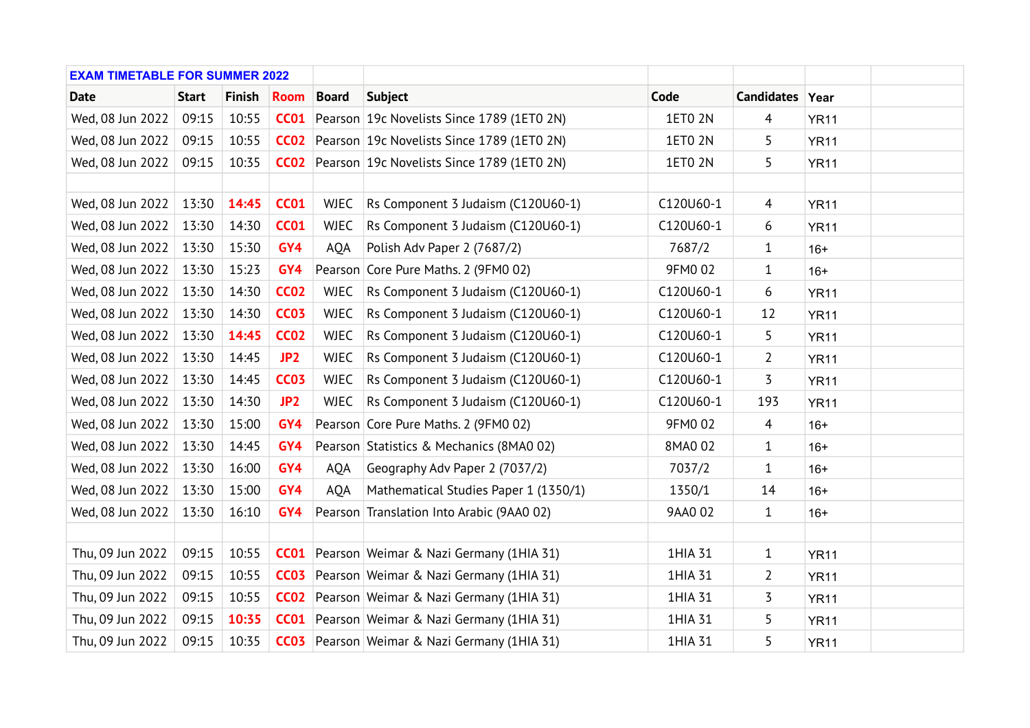| <b>EXAM TIMETABLE FOR SUMMER 2022</b> |              |               |                 |              |                                                     |                |                 |             |  |
|---------------------------------------|--------------|---------------|-----------------|--------------|-----------------------------------------------------|----------------|-----------------|-------------|--|
| <b>Date</b>                           | <b>Start</b> | <b>Finish</b> | <b>Room</b>     | <b>Board</b> | <b>Subject</b>                                      | Code           | Candidates Year |             |  |
| Wed, 08 Jun 2022                      | 09:15        | 10:55         | CCO1            |              | Pearson   19c Novelists Since 1789 (1ET0 2N)        | 1ET0 2N        | $\overline{4}$  | <b>YR11</b> |  |
| Wed, 08 Jun 2022                      | 09:15        | 10:55         |                 |              | CC02 Pearson 19c Novelists Since 1789 (1ETO 2N)     | 1ET0 2N        | 5               | <b>YR11</b> |  |
| Wed, 08 Jun 2022                      | 09:15        | 10:35         |                 |              | CC02 Pearson 19c Novelists Since 1789 (1ETO 2N)     | <b>1ETO 2N</b> | 5               | <b>YR11</b> |  |
|                                       |              |               |                 |              |                                                     |                |                 |             |  |
| Wed, 08 Jun 2022                      | 13:30        | 14:45         | <b>CC01</b>     | <b>WJEC</b>  | Rs Component 3 Judaism (C120U60-1)                  | C120U60-1      | $\overline{4}$  | <b>YR11</b> |  |
| Wed, 08 Jun 2022                      | 13:30        | 14:30         | <b>CC01</b>     | <b>WJEC</b>  | Rs Component 3 Judaism (C120U60-1)                  | C120U60-1      | 6               | <b>YR11</b> |  |
| Wed, 08 Jun 2022                      | 13:30        | 15:30         | GY4             | <b>AQA</b>   | Polish Adv Paper 2 (7687/2)                         | 7687/2         | $\mathbf{1}$    | $16+$       |  |
| Wed, 08 Jun 2022                      | 13:30        | 15:23         | GY4             |              | Pearson Core Pure Maths. 2 (9FM0 02)                | 9FM0 02        | 1               | $16+$       |  |
| Wed, 08 Jun 2022                      | 13:30        | 14:30         | <b>CC02</b>     | <b>WJEC</b>  | Rs Component 3 Judaism (C120U60-1)                  | C120U60-1      | 6               | <b>YR11</b> |  |
| Wed, 08 Jun 2022                      | 13:30        | 14:30         | <b>CC03</b>     | <b>WJEC</b>  | Rs Component 3 Judaism (C120U60-1)                  | C120U60-1      | 12              | <b>YR11</b> |  |
| Wed, 08 Jun 2022                      | 13:30        | 14:45         | <b>CC02</b>     | <b>WJEC</b>  | Rs Component 3 Judaism (C120U60-1)                  | C120U60-1      | 5               | <b>YR11</b> |  |
| Wed, 08 Jun 2022                      | 13:30        | 14:45         | JP <sub>2</sub> | <b>WJEC</b>  | Rs Component 3 Judaism (C120U60-1)                  | C120U60-1      | 2               | <b>YR11</b> |  |
| Wed, 08 Jun 2022                      | 13:30        | 14:45         | <b>CC03</b>     | <b>WJEC</b>  | Rs Component 3 Judaism (C120U60-1)                  | C120U60-1      | 3               | <b>YR11</b> |  |
| Wed, 08 Jun 2022                      | 13:30        | 14:30         | JP <sub>2</sub> | <b>WJEC</b>  | Rs Component 3 Judaism (C120U60-1)                  | C120U60-1      | 193             | <b>YR11</b> |  |
| Wed, 08 Jun 2022                      | 13:30        | 15:00         | GY4             |              | Pearson Core Pure Maths. 2 (9FM0 02)                | 9FM0 02        | $\overline{4}$  | $16+$       |  |
| Wed, 08 Jun 2022                      | 13:30        | 14:45         | GY4             |              | Pearson Statistics & Mechanics (8MA0 02)            | 8MA0 02        | $\mathbf 1$     | $16+$       |  |
| Wed, 08 Jun 2022                      | 13:30        | 16:00         | GY4             | <b>AOA</b>   | Geography Adv Paper 2 (7037/2)                      | 7037/2         | $\mathbf{1}$    | $16+$       |  |
| Wed, 08 Jun 2022                      | 13:30        | 15:00         | GY4             | <b>AQA</b>   | Mathematical Studies Paper 1 (1350/1)               | 1350/1         | 14              | $16+$       |  |
| Wed, 08 Jun 2022                      | 13:30        | 16:10         | GY4             |              | Pearson Translation Into Arabic (9AA0 02)           | 9AA0 02        | $\mathbf{1}$    | $16+$       |  |
|                                       |              |               |                 |              |                                                     |                |                 |             |  |
| Thu, 09 Jun 2022                      | 09:15        | 10:55         |                 |              | <b>CC01</b> Pearson Weimar & Nazi Germany (1HIA 31) | 1HIA 31        | $\mathbf{1}$    | <b>YR11</b> |  |
| Thu, 09 Jun 2022                      | 09:15        | 10:55         |                 |              | <b>CC03</b> Pearson Weimar & Nazi Germany (1HIA 31) | 1HIA 31        | $\overline{2}$  | <b>YR11</b> |  |
| Thu, 09 Jun 2022                      | 09:15        | 10:55         | CCO2            |              | Pearson Weimar & Nazi Germany (1HIA 31)             | 1HIA 31        | 3               | <b>YR11</b> |  |
| Thu, 09 Jun 2022                      | 09:15        | 10:35         |                 |              | <b>CC01</b> Pearson Weimar & Nazi Germany (1HIA 31) | 1HIA 31        | 5               | <b>YR11</b> |  |
| Thu, 09 Jun 2022                      | 09:15        | 10:35         |                 |              | <b>CC03</b> Pearson Weimar & Nazi Germany (1HIA 31) | 1HIA 31        | 5               | <b>YR11</b> |  |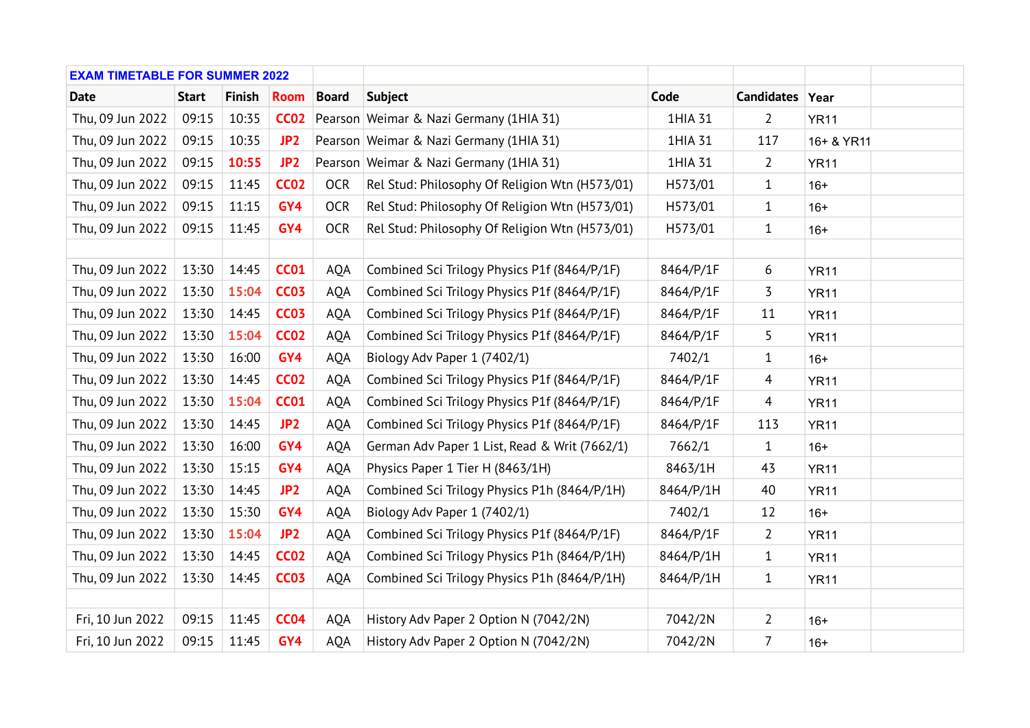| <b>EXAM TIMETABLE FOR SUMMER 2022</b> |              |               |                 |              |                                                |           |                 |             |  |
|---------------------------------------|--------------|---------------|-----------------|--------------|------------------------------------------------|-----------|-----------------|-------------|--|
| <b>Date</b>                           | <b>Start</b> | <b>Finish</b> | <b>Room</b>     | <b>Board</b> | <b>Subject</b>                                 | Code      | Candidates Year |             |  |
| Thu, 09 Jun 2022                      | 09:15        | 10:35         | <b>CC02</b>     |              | Pearson Weimar & Nazi Germany (1HIA 31)        | 1HIA 31   | $\overline{2}$  | <b>YR11</b> |  |
| Thu, 09 Jun 2022                      | 09:15        | 10:35         | JP <sub>2</sub> |              | Pearson Weimar & Nazi Germany (1HIA 31)        | 1HIA 31   | 117             | 16+ & YR11  |  |
| Thu, 09 Jun 2022                      | 09:15        | 10:55         | JP <sub>2</sub> |              | Pearson Weimar & Nazi Germany (1HIA 31)        | 1HIA 31   | 2               | <b>YR11</b> |  |
| Thu, 09 Jun 2022                      | 09:15        | 11:45         | <b>CC02</b>     | <b>OCR</b>   | Rel Stud: Philosophy Of Religion Wtn (H573/01) | H573/01   | 1               | $16+$       |  |
| Thu, 09 Jun 2022                      | 09:15        | 11:15         | GY4             | <b>OCR</b>   | Rel Stud: Philosophy Of Religion Wtn (H573/01) | H573/01   | 1               | $16+$       |  |
| Thu, 09 Jun 2022                      | 09:15        | 11:45         | GY4             | <b>OCR</b>   | Rel Stud: Philosophy Of Religion Wtn (H573/01) | H573/01   | $\mathbf{1}$    | $16+$       |  |
|                                       |              |               |                 |              |                                                |           |                 |             |  |
| Thu, 09 Jun 2022                      | 13:30        | 14:45         | <b>CC01</b>     | AQA          | Combined Sci Trilogy Physics P1f (8464/P/1F)   | 8464/P/1F | 6               | <b>YR11</b> |  |
| Thu, 09 Jun 2022                      | 13:30        | 15:04         | <b>CC03</b>     | AQA          | Combined Sci Trilogy Physics P1f (8464/P/1F)   | 8464/P/1F | 3               | <b>YR11</b> |  |
| Thu, 09 Jun 2022                      | 13:30        | 14:45         | <b>CC03</b>     | <b>AQA</b>   | Combined Sci Trilogy Physics P1f (8464/P/1F)   | 8464/P/1F | 11              | <b>YR11</b> |  |
| Thu, 09 Jun 2022                      | 13:30        | 15:04         | <b>CC02</b>     | <b>AQA</b>   | Combined Sci Trilogy Physics P1f (8464/P/1F)   | 8464/P/1F | 5               | <b>YR11</b> |  |
| Thu, 09 Jun 2022                      | 13:30        | 16:00         | GY4             | AQA          | Biology Adv Paper 1 (7402/1)                   | 7402/1    | 1               | $16+$       |  |
| Thu, 09 Jun 2022                      | 13:30        | 14:45         | <b>CC02</b>     | <b>AQA</b>   | Combined Sci Trilogy Physics P1f (8464/P/1F)   | 8464/P/1F | $\overline{4}$  | <b>YR11</b> |  |
| Thu, 09 Jun 2022                      | 13:30        | 15:04         | <b>CC01</b>     | AQA          | Combined Sci Trilogy Physics P1f (8464/P/1F)   | 8464/P/1F | $\overline{4}$  | <b>YR11</b> |  |
| Thu, 09 Jun 2022                      | 13:30        | 14:45         | JP <sub>2</sub> | <b>AQA</b>   | Combined Sci Trilogy Physics P1f (8464/P/1F)   | 8464/P/1F | 113             | <b>YR11</b> |  |
| Thu, 09 Jun 2022                      | 13:30        | 16:00         | GY4             | <b>AQA</b>   | German Adv Paper 1 List, Read & Writ (7662/1)  | 7662/1    | $\mathbf{1}$    | $16+$       |  |
| Thu, 09 Jun 2022                      | 13:30        | 15:15         | GY4             | <b>AQA</b>   | Physics Paper 1 Tier H (8463/1H)               | 8463/1H   | 43              | <b>YR11</b> |  |
| Thu, 09 Jun 2022                      | 13:30        | 14:45         | JP <sub>2</sub> | <b>AQA</b>   | Combined Sci Trilogy Physics P1h (8464/P/1H)   | 8464/P/1H | 40              | <b>YR11</b> |  |
| Thu, 09 Jun 2022                      | 13:30        | 15:30         | GY4             | <b>AQA</b>   | Biology Adv Paper 1 (7402/1)                   | 7402/1    | 12              | $16+$       |  |
| Thu, 09 Jun 2022                      | 13:30        | 15:04         | JP <sub>2</sub> | <b>AQA</b>   | Combined Sci Trilogy Physics P1f (8464/P/1F)   | 8464/P/1F | $\overline{2}$  | <b>YR11</b> |  |
| Thu, 09 Jun 2022                      | 13:30        | 14:45         | <b>CC02</b>     | <b>AQA</b>   | Combined Sci Trilogy Physics P1h (8464/P/1H)   | 8464/P/1H | $\mathbf{1}$    | <b>YR11</b> |  |
| Thu, 09 Jun 2022                      | 13:30        | 14:45         | <b>CC03</b>     | <b>AQA</b>   | Combined Sci Trilogy Physics P1h (8464/P/1H)   | 8464/P/1H | $\mathbf{1}$    | <b>YR11</b> |  |
|                                       |              |               |                 |              |                                                |           |                 |             |  |
| Fri, 10 Jun 2022                      | 09:15        | 11:45         | <b>CC04</b>     | AQA          | History Adv Paper 2 Option N (7042/2N)         | 7042/2N   | $\overline{2}$  | $16+$       |  |
| Fri, 10 Jun 2022                      | 09:15        | 11:45         | GY4             | <b>AQA</b>   | History Adv Paper 2 Option N (7042/2N)         | 7042/2N   | 7               | $16+$       |  |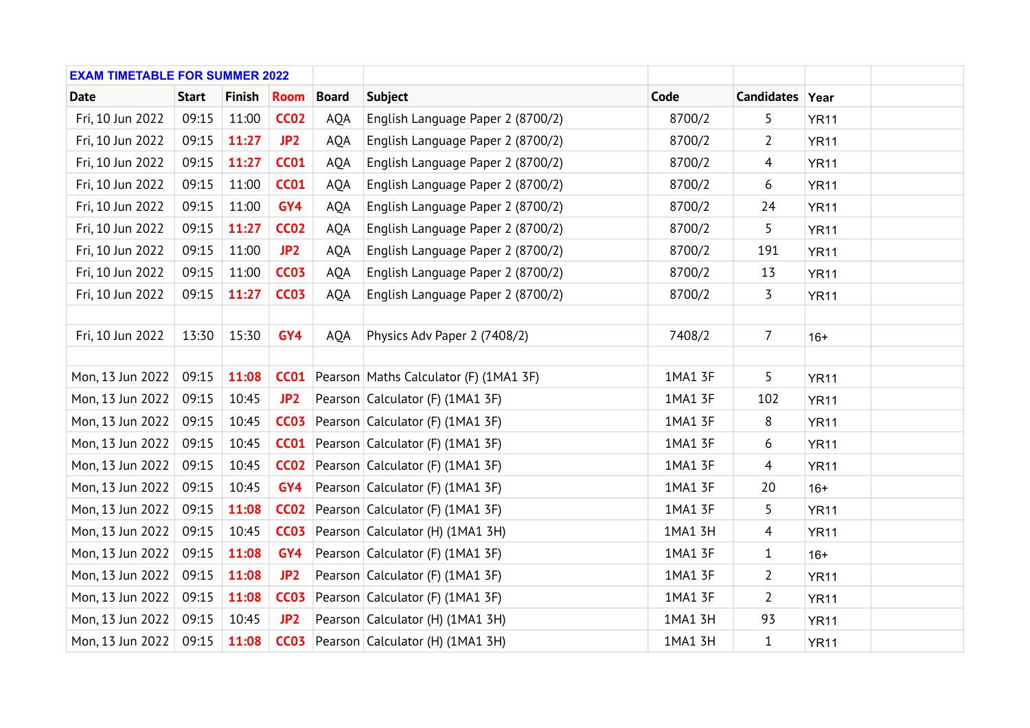| <b>EXAM TIMETABLE FOR SUMMER 2022</b> |              |               |                 |              |                                                    |         |                 |             |  |
|---------------------------------------|--------------|---------------|-----------------|--------------|----------------------------------------------------|---------|-----------------|-------------|--|
| <b>Date</b>                           | <b>Start</b> | <b>Finish</b> | <b>Room</b>     | <b>Board</b> | <b>Subject</b>                                     | Code    | Candidates Year |             |  |
| Fri, 10 Jun 2022                      | 09:15        | 11:00         | <b>CC02</b>     | AQA          | English Language Paper 2 (8700/2)                  | 8700/2  | 5               | <b>YR11</b> |  |
| Fri, 10 Jun 2022                      | 09:15        | 11:27         | JP2             | AQA          | English Language Paper 2 (8700/2)                  | 8700/2  | $\overline{2}$  | <b>YR11</b> |  |
| Fri, 10 Jun 2022                      | 09:15        | 11:27         | <b>CC01</b>     | <b>AQA</b>   | English Language Paper 2 (8700/2)                  | 8700/2  | 4               | <b>YR11</b> |  |
| Fri, 10 Jun 2022                      | 09:15        | 11:00         | <b>CC01</b>     | AQA          | English Language Paper 2 (8700/2)                  | 8700/2  | 6               | <b>YR11</b> |  |
| Fri, 10 Jun 2022                      | 09:15        | 11:00         | GY4             | AQA          | English Language Paper 2 (8700/2)                  | 8700/2  | 24              | <b>YR11</b> |  |
| Fri, 10 Jun 2022                      | 09:15        | 11:27         | <b>CC02</b>     | AQA          | English Language Paper 2 (8700/2)                  | 8700/2  | 5               | <b>YR11</b> |  |
| Fri, 10 Jun 2022                      | 09:15        | 11:00         | JP2             | AQA          | English Language Paper 2 (8700/2)                  | 8700/2  | 191             | <b>YR11</b> |  |
| Fri, 10 Jun 2022                      | 09:15        | 11:00         | <b>CC03</b>     | <b>AQA</b>   | English Language Paper 2 (8700/2)                  | 8700/2  | 13              | <b>YR11</b> |  |
| Fri, 10 Jun 2022                      | 09:15        | 11:27         | <b>CC03</b>     | AQA          | English Language Paper 2 (8700/2)                  | 8700/2  | 3               | <b>YR11</b> |  |
|                                       |              |               |                 |              |                                                    |         |                 |             |  |
| Fri, 10 Jun 2022                      | 13:30        | 15:30         | GY4             | AQA          | Physics Adv Paper 2 (7408/2)                       | 7408/2  | $\overline{7}$  | $16+$       |  |
|                                       |              |               |                 |              |                                                    |         |                 |             |  |
| Mon, 13 Jun 2022                      | 09:15        | 11:08         |                 |              | <b>CC01</b> Pearson Maths Calculator (F) (1MA1 3F) | 1MA1 3F | 5               | <b>YR11</b> |  |
| Mon, 13 Jun 2022                      | 09:15        | 10:45         | JP <sub>2</sub> |              | Pearson Calculator (F) (1MA1 3F)                   | 1MA1 3F | 102             | <b>YR11</b> |  |
| Mon, 13 Jun 2022                      | 09:15        | 10:45         |                 |              | <b>CC03</b> Pearson Calculator (F) (1MA1 3F)       | 1MA1 3F | 8               | <b>YR11</b> |  |
| Mon, 13 Jun 2022                      | 09:15        | 10:45         |                 |              | <b>CC01</b> Pearson Calculator (F) (1MA1 3F)       | 1MA1 3F | 6               | <b>YR11</b> |  |
| Mon, 13 Jun 2022                      | 09:15        | 10:45         |                 |              | <b>CC02</b> Pearson Calculator (F) (1MA1 3F)       | 1MA1 3F | $\overline{4}$  | <b>YR11</b> |  |
| Mon, 13 Jun 2022                      | 09:15        | 10:45         | GY4             |              | Pearson Calculator (F) (1MA1 3F)                   | 1MA1 3F | 20              | $16+$       |  |
| Mon, 13 Jun 2022                      | 09:15        | 11:08         |                 |              | <b>CC02</b> Pearson Calculator (F) (1MA1 3F)       | 1MA1 3F | 5               | <b>YR11</b> |  |
| Mon, 13 Jun 2022                      | 09:15        | 10:45         | <b>CC03</b>     |              | Pearson Calculator (H) (1MA1 3H)                   | 1MA1 3H | 4               | <b>YR11</b> |  |
| Mon, 13 Jun 2022                      | 09:15        | 11:08         | GY4             |              | Pearson Calculator (F) (1MA1 3F)                   | 1MA1 3F | $\mathbf{1}$    | $16+$       |  |
| Mon, 13 Jun 2022                      | 09:15        | 11:08         | JP2             |              | Pearson Calculator (F) (1MA1 3F)                   | 1MA1 3F | $\overline{2}$  | <b>YR11</b> |  |
| Mon, 13 Jun 2022                      | 09:15        | 11:08         | <b>CC03</b>     |              | Pearson Calculator (F) (1MA1 3F)                   | 1MA1 3F | $\overline{2}$  | <b>YR11</b> |  |
| Mon, 13 Jun 2022                      | 09:15        | 10:45         | JP <sub>2</sub> |              | Pearson Calculator (H) (1MA1 3H)                   | 1MA1 3H | 93              | <b>YR11</b> |  |
| Mon, 13 Jun 2022                      | 09:15        | 11:08         |                 |              | <b>CC03</b> Pearson Calculator (H) (1MA1 3H)       | 1MA1 3H | $\mathbf{1}$    | <b>YR11</b> |  |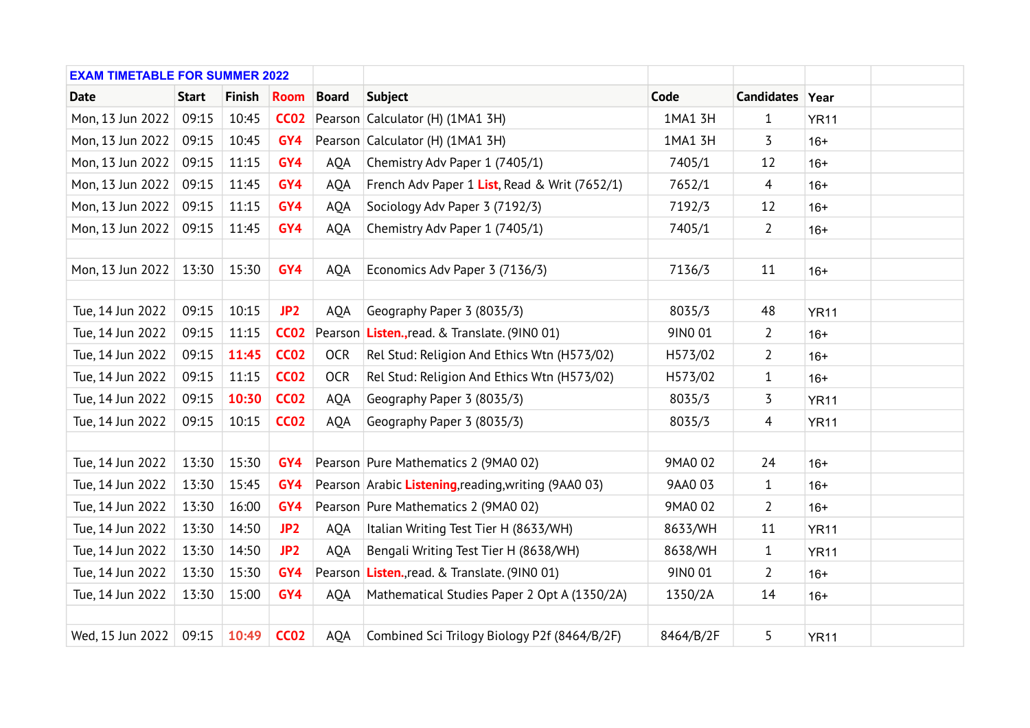| <b>EXAM TIMETABLE FOR SUMMER 2022</b> |              |               |                 |              |                                                      |           |                 |             |  |
|---------------------------------------|--------------|---------------|-----------------|--------------|------------------------------------------------------|-----------|-----------------|-------------|--|
| <b>Date</b>                           | <b>Start</b> | <b>Finish</b> | <b>Room</b>     | <b>Board</b> | <b>Subject</b>                                       | Code      | Candidates Year |             |  |
| Mon, 13 Jun 2022                      | 09:15        | 10:45         | <b>CC02</b>     |              | Pearson Calculator (H) (1MA1 3H)                     | 1MA1 3H   | $\mathbf{1}$    | <b>YR11</b> |  |
| Mon, 13 Jun 2022                      | 09:15        | 10:45         | GY4             |              | Pearson Calculator (H) (1MA1 3H)                     | 1MA1 3H   | 3               | $16+$       |  |
| Mon, 13 Jun 2022                      | 09:15        | 11:15         | GY4             | <b>AQA</b>   | Chemistry Adv Paper 1 (7405/1)                       | 7405/1    | 12              | $16+$       |  |
| Mon, 13 Jun 2022                      | 09:15        | 11:45         | GY4             | AQA          | French Adv Paper 1 List, Read & Writ (7652/1)        | 7652/1    | 4               | $16+$       |  |
| Mon, 13 Jun 2022                      | 09:15        | 11:15         | GY4             | <b>AQA</b>   | Sociology Adv Paper 3 (7192/3)                       | 7192/3    | 12              | $16+$       |  |
| Mon, 13 Jun 2022                      | 09:15        | 11:45         | GY4             | AQA          | Chemistry Adv Paper 1 (7405/1)                       | 7405/1    | $\overline{2}$  | $16+$       |  |
|                                       |              |               |                 |              |                                                      |           |                 |             |  |
| Mon, 13 Jun 2022                      | 13:30        | 15:30         | GY4             | AQA          | Economics Adv Paper 3 (7136/3)                       | 7136/3    | 11              | $16+$       |  |
|                                       |              |               |                 |              |                                                      |           |                 |             |  |
| Tue, 14 Jun 2022                      | 09:15        | 10:15         | JP <sub>2</sub> | <b>AQA</b>   | Geography Paper 3 (8035/3)                           | 8035/3    | 48              | <b>YR11</b> |  |
| Tue, 14 Jun 2022                      | 09:15        | 11:15         | <b>CC02</b>     |              | Pearson Listen., read. & Translate. (9INO 01)        | 9IN0 01   | $\overline{2}$  | $16+$       |  |
| Tue, 14 Jun 2022                      | 09:15        | 11:45         | <b>CC02</b>     | <b>OCR</b>   | Rel Stud: Religion And Ethics Wtn (H573/02)          | H573/02   | $\overline{2}$  | $16+$       |  |
| Tue, 14 Jun 2022                      | 09:15        | 11:15         | <b>CC02</b>     | <b>OCR</b>   | Rel Stud: Religion And Ethics Wtn (H573/02)          | H573/02   | $\mathbf{1}$    | $16+$       |  |
| Tue, 14 Jun 2022                      | 09:15        | 10:30         | <b>CC02</b>     | AQA          | Geography Paper 3 (8035/3)                           | 8035/3    | 3               | <b>YR11</b> |  |
| Tue, 14 Jun 2022                      | 09:15        | 10:15         | <b>CC02</b>     | AQA          | Geography Paper 3 (8035/3)                           | 8035/3    | $\overline{4}$  | <b>YR11</b> |  |
|                                       |              |               |                 |              |                                                      |           |                 |             |  |
| Tue, 14 Jun 2022                      | 13:30        | 15:30         | GY4             |              | Pearson Pure Mathematics 2 (9MA0 02)                 | 9MA0 02   | 24              | $16+$       |  |
| Tue, 14 Jun 2022                      | 13:30        | 15:45         | GY4             |              | Pearson Arabic Listening, reading, writing (9AA0 03) | 9AA0 03   | 1               | $16+$       |  |
| Tue, 14 Jun 2022                      | 13:30        | 16:00         | GY4             |              | Pearson Pure Mathematics 2 (9MA0 02)                 | 9MA0 02   | $\overline{2}$  | $16+$       |  |
| Tue, 14 Jun 2022                      | 13:30        | 14:50         | JP <sub>2</sub> | AQA          | Italian Writing Test Tier H (8633/WH)                | 8633/WH   | 11              | <b>YR11</b> |  |
| Tue, 14 Jun 2022                      | 13:30        | 14:50         | JP <sub>2</sub> | <b>AQA</b>   | Bengali Writing Test Tier H (8638/WH)                | 8638/WH   | $\mathbf{1}$    | <b>YR11</b> |  |
| Tue, 14 Jun 2022                      | 13:30        | 15:30         | GY4             |              | Pearson Listen., read. & Translate. (9INO 01)        | 9IN0 01   | 2               | $16+$       |  |
| Tue, 14 Jun 2022                      | 13:30        | 15:00         | GY4             | <b>AQA</b>   | Mathematical Studies Paper 2 Opt A (1350/2A)         | 1350/2A   | 14              | $16+$       |  |
|                                       |              |               |                 |              |                                                      |           |                 |             |  |
| Wed, 15 Jun 2022                      | 09:15        | 10:49         | <b>CC02</b>     | AQA          | Combined Sci Trilogy Biology P2f (8464/B/2F)         | 8464/B/2F | 5               | <b>YR11</b> |  |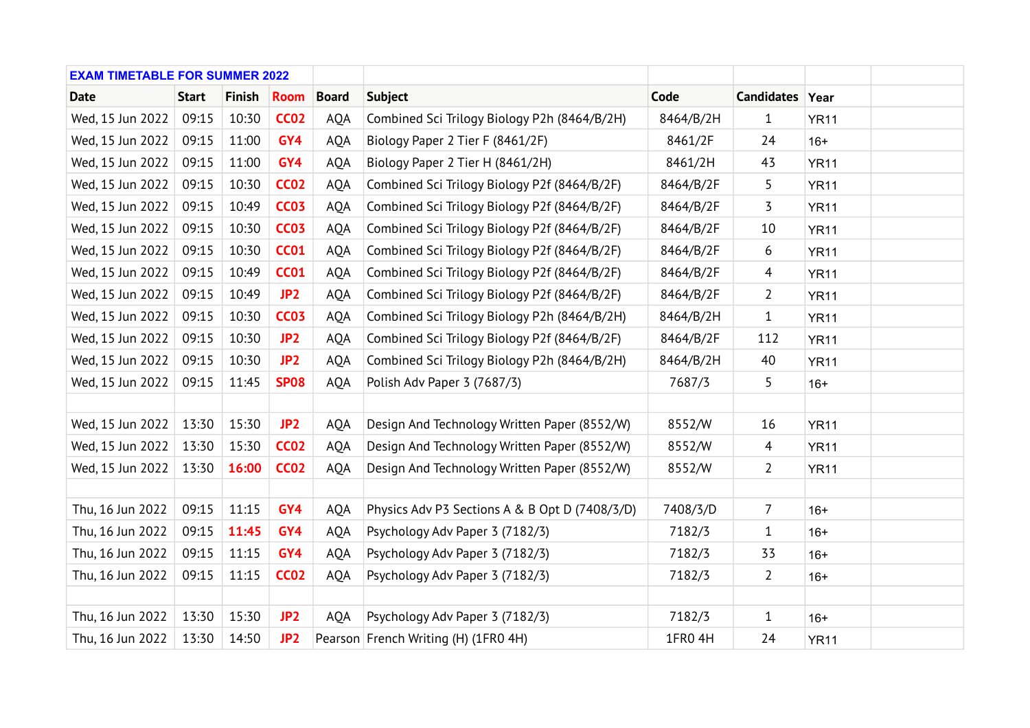| <b>EXAM TIMETABLE FOR SUMMER 2022</b> |              |               |                 |              |                                                |           |                 |             |  |
|---------------------------------------|--------------|---------------|-----------------|--------------|------------------------------------------------|-----------|-----------------|-------------|--|
| <b>Date</b>                           | <b>Start</b> | <b>Finish</b> | <b>Room</b>     | <b>Board</b> | <b>Subject</b>                                 | Code      | Candidates Year |             |  |
| Wed, 15 Jun 2022                      | 09:15        | 10:30         | <b>CC02</b>     | AQA          | Combined Sci Trilogy Biology P2h (8464/B/2H)   | 8464/B/2H | $\mathbf{1}$    | <b>YR11</b> |  |
| Wed, 15 Jun 2022                      | 09:15        | 11:00         | GY4             | AQA          | Biology Paper 2 Tier F (8461/2F)               | 8461/2F   | 24              | $16+$       |  |
| Wed, 15 Jun 2022                      | 09:15        | 11:00         | GY4             | <b>AQA</b>   | Biology Paper 2 Tier H (8461/2H)               | 8461/2H   | 43              | <b>YR11</b> |  |
| Wed, 15 Jun 2022                      | 09:15        | 10:30         | <b>CC02</b>     | <b>AQA</b>   | Combined Sci Trilogy Biology P2f (8464/B/2F)   | 8464/B/2F | 5               | <b>YR11</b> |  |
| Wed, 15 Jun 2022                      | 09:15        | 10:49         | <b>CC03</b>     | AQA          | Combined Sci Trilogy Biology P2f (8464/B/2F)   | 8464/B/2F | 3               | <b>YR11</b> |  |
| Wed, 15 Jun 2022                      | 09:15        | 10:30         | <b>CC03</b>     | <b>AQA</b>   | Combined Sci Trilogy Biology P2f (8464/B/2F)   | 8464/B/2F | 10              | <b>YR11</b> |  |
| Wed, 15 Jun 2022                      | 09:15        | 10:30         | <b>CC01</b>     | AQA          | Combined Sci Trilogy Biology P2f (8464/B/2F)   | 8464/B/2F | 6               | <b>YR11</b> |  |
| Wed, 15 Jun 2022                      | 09:15        | 10:49         | <b>CC01</b>     | AQA          | Combined Sci Trilogy Biology P2f (8464/B/2F)   | 8464/B/2F | $\overline{4}$  | <b>YR11</b> |  |
| Wed, 15 Jun 2022                      | 09:15        | 10:49         | JP <sub>2</sub> | AQA          | Combined Sci Trilogy Biology P2f (8464/B/2F)   | 8464/B/2F | $\overline{2}$  | <b>YR11</b> |  |
| Wed, 15 Jun 2022                      | 09:15        | 10:30         | <b>CC03</b>     | <b>AQA</b>   | Combined Sci Trilogy Biology P2h (8464/B/2H)   | 8464/B/2H | 1               | <b>YR11</b> |  |
| Wed, 15 Jun 2022                      | 09:15        | 10:30         | JP <sub>2</sub> | <b>AQA</b>   | Combined Sci Trilogy Biology P2f (8464/B/2F)   | 8464/B/2F | 112             | <b>YR11</b> |  |
| Wed, 15 Jun 2022                      | 09:15        | 10:30         | JP <sub>2</sub> | AQA          | Combined Sci Trilogy Biology P2h (8464/B/2H)   | 8464/B/2H | 40              | <b>YR11</b> |  |
| Wed, 15 Jun 2022                      | 09:15        | 11:45         | <b>SP08</b>     | <b>AQA</b>   | Polish Adv Paper 3 (7687/3)                    | 7687/3    | 5               | $16+$       |  |
|                                       |              |               |                 |              |                                                |           |                 |             |  |
| Wed, 15 Jun 2022                      | 13:30        | 15:30         | JP <sub>2</sub> | <b>AQA</b>   | Design And Technology Written Paper (8552/W)   | 8552/W    | 16              | <b>YR11</b> |  |
| Wed, 15 Jun 2022                      | 13:30        | 15:30         | <b>CC02</b>     | <b>AQA</b>   | Design And Technology Written Paper (8552/W)   | 8552/W    | $\overline{4}$  | <b>YR11</b> |  |
| Wed, 15 Jun 2022                      | 13:30        | 16:00         | <b>CC02</b>     | <b>AQA</b>   | Design And Technology Written Paper (8552/W)   | 8552/W    | $\overline{2}$  | <b>YR11</b> |  |
|                                       |              |               |                 |              |                                                |           |                 |             |  |
| Thu, 16 Jun 2022                      | 09:15        | 11:15         | GY4             | <b>AQA</b>   | Physics Adv P3 Sections A & B Opt D (7408/3/D) | 7408/3/D  | $\overline{7}$  | $16+$       |  |
| Thu, 16 Jun 2022                      | 09:15        | 11:45         | GY4             | AQA          | Psychology Adv Paper 3 (7182/3)                | 7182/3    | 1               | $16+$       |  |
| Thu, 16 Jun 2022                      | 09:15        | 11:15         | GY4             | <b>AQA</b>   | Psychology Adv Paper 3 (7182/3)                | 7182/3    | 33              | $16+$       |  |
| Thu, 16 Jun 2022                      | 09:15        | 11:15         | <b>CC02</b>     | <b>AQA</b>   | Psychology Adv Paper 3 (7182/3)                | 7182/3    | 2               | $16+$       |  |
|                                       |              |               |                 |              |                                                |           |                 |             |  |
| Thu, 16 Jun 2022                      | 13:30        | 15:30         | JP <sub>2</sub> | <b>AQA</b>   | Psychology Adv Paper 3 (7182/3)                | 7182/3    | $\mathbf{1}$    | $16+$       |  |
| Thu, 16 Jun 2022                      | 13:30        | 14:50         | JP <sub>2</sub> |              | Pearson French Writing (H) (1FR0 4H)           | 1FR0 4H   | 24              | <b>YR11</b> |  |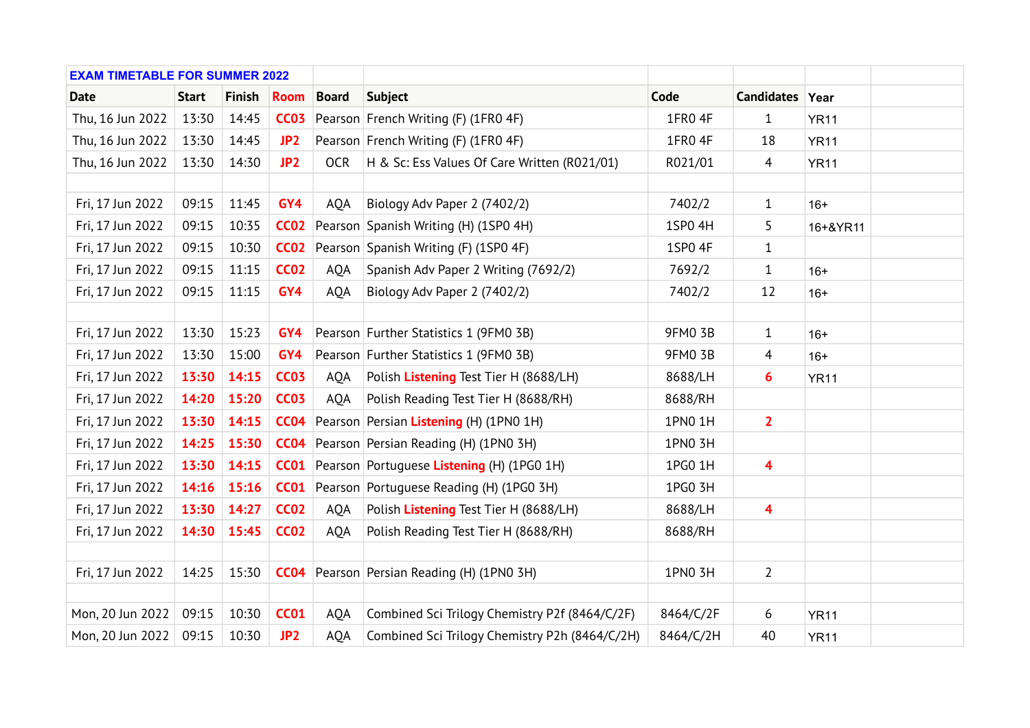| <b>EXAM TIMETABLE FOR SUMMER 2022</b> |              |               |                 |              |                                                   |           |                         |             |  |
|---------------------------------------|--------------|---------------|-----------------|--------------|---------------------------------------------------|-----------|-------------------------|-------------|--|
| <b>Date</b>                           | <b>Start</b> | <b>Finish</b> | <b>Room</b>     | <b>Board</b> | <b>Subject</b>                                    | Code      | Candidates Year         |             |  |
| Thu, 16 Jun 2022                      | 13:30        | 14:45         | <b>CC03</b>     |              | Pearson French Writing (F) (1FR0 4F)              | 1FR0 4F   | $\mathbf{1}$            | <b>YR11</b> |  |
| Thu, 16 Jun 2022                      | 13:30        | 14:45         | JP <sub>2</sub> |              | Pearson French Writing (F) (1FR0 4F)              | 1FR0 4F   | 18                      | <b>YR11</b> |  |
| Thu, 16 Jun 2022                      | 13:30        | 14:30         | JP <sub>2</sub> | <b>OCR</b>   | H & Sc: Ess Values Of Care Written (R021/01)      | R021/01   | $\overline{4}$          | <b>YR11</b> |  |
|                                       |              |               |                 |              |                                                   |           |                         |             |  |
| Fri, 17 Jun 2022                      | 09:15        | 11:45         | GY4             | AQA          | Biology Adv Paper 2 (7402/2)                      | 7402/2    | $\mathbf{1}$            | $16+$       |  |
| Fri, 17 Jun 2022                      | 09:15        | 10:35         | <b>CC02</b>     |              | Pearson Spanish Writing (H) (1SP0 4H)             | 1SP0 4H   | 5                       | 16+&YR11    |  |
| Fri, 17 Jun 2022                      | 09:15        | 10:30         | CCO2            |              | Pearson Spanish Writing (F) (1SP0 4F)             | 1SP0 4F   | 1                       |             |  |
| Fri, 17 Jun 2022                      | 09:15        | 11:15         | <b>CC02</b>     | AQA          | Spanish Adv Paper 2 Writing (7692/2)              | 7692/2    | $\mathbf{1}$            | $16+$       |  |
| Fri, 17 Jun 2022                      | 09:15        | 11:15         | GY4             | AQA          | Biology Adv Paper 2 (7402/2)                      | 7402/2    | 12                      | $16+$       |  |
|                                       |              |               |                 |              |                                                   |           |                         |             |  |
| Fri, 17 Jun 2022                      | 13:30        | 15:23         | GY4             |              | Pearson Further Statistics 1 (9FM0 3B)            | 9FM0 3B   | 1                       | $16+$       |  |
| Fri, 17 Jun 2022                      | 13:30        | 15:00         | GY4             |              | Pearson Further Statistics 1 (9FM0 3B)            | 9FM0 3B   | $\overline{4}$          | $16+$       |  |
| Fri, 17 Jun 2022                      | 13:30        | 14:15         | <b>CC03</b>     | <b>AQA</b>   | Polish Listening Test Tier H (8688/LH)            | 8688/LH   | 6                       | <b>YR11</b> |  |
| Fri, 17 Jun 2022                      | 14:20        | 15:20         | <b>CC03</b>     | <b>AQA</b>   | Polish Reading Test Tier H (8688/RH)              | 8688/RH   |                         |             |  |
| Fri, 17 Jun 2022                      | 13:30        | 14:15         | <b>CC04</b>     |              | Pearson Persian Listening (H) (1PN0 1H)           | 1PN0 1H   | $\overline{2}$          |             |  |
| Fri, 17 Jun 2022                      | 14:25        | 15:30         | <b>CC04</b>     |              | Pearson Persian Reading (H) (1PN0 3H)             | 1PN0 3H   |                         |             |  |
| Fri, 17 Jun 2022                      | 13:30        | 14:15         | <b>CC01</b>     |              | Pearson Portuguese Listening (H) (1PG0 1H)        | 1PG0 1H   | 4                       |             |  |
| Fri, 17 Jun 2022                      | 14:16        | 15:16         | CCO1            |              | Pearson Portuguese Reading (H) (1PG0 3H)          | 1PG0 3H   |                         |             |  |
| Fri, 17 Jun 2022                      | 13:30        | 14:27         | <b>CC02</b>     | AQA          | Polish Listening Test Tier H (8688/LH)            | 8688/LH   | $\overline{\mathbf{4}}$ |             |  |
| Fri, 17 Jun 2022                      | 14:30        | 15:45         | <b>CC02</b>     | AQA          | Polish Reading Test Tier H (8688/RH)              | 8688/RH   |                         |             |  |
|                                       |              |               |                 |              |                                                   |           |                         |             |  |
| Fri, 17 Jun 2022                      | 14:25        | 15:30         |                 |              | <b>CC04</b> Pearson Persian Reading (H) (1PN0 3H) | 1PN0 3H   | $\overline{2}$          |             |  |
|                                       |              |               |                 |              |                                                   |           |                         |             |  |
| Mon, 20 Jun 2022                      | 09:15        | 10:30         | <b>CC01</b>     | <b>AQA</b>   | Combined Sci Trilogy Chemistry P2f (8464/C/2F)    | 8464/C/2F | 6                       | <b>YR11</b> |  |
| Mon, 20 Jun 2022                      | 09:15        | 10:30         | JP <sub>2</sub> | AQA          | Combined Sci Trilogy Chemistry P2h (8464/C/2H)    | 8464/C/2H | 40                      | <b>YR11</b> |  |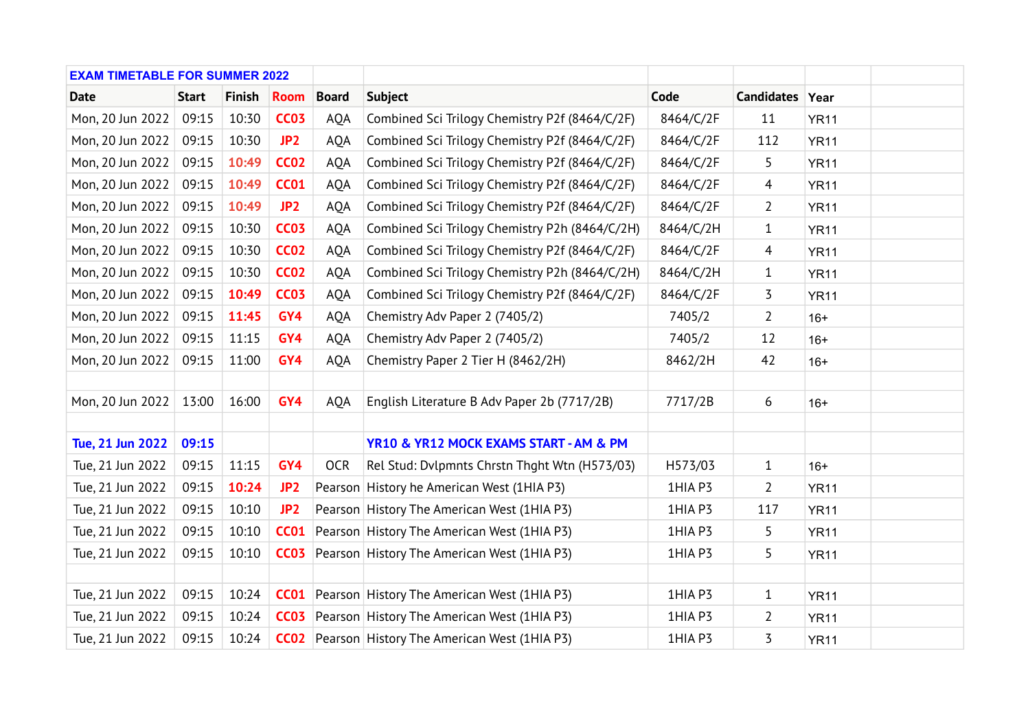| <b>EXAM TIMETABLE FOR SUMMER 2022</b> |              |               |                  |              |                                                         |           |                 |             |  |
|---------------------------------------|--------------|---------------|------------------|--------------|---------------------------------------------------------|-----------|-----------------|-------------|--|
| <b>Date</b>                           | <b>Start</b> | <b>Finish</b> | <b>Room</b>      | <b>Board</b> | <b>Subject</b>                                          | Code      | Candidates Year |             |  |
| Mon, 20 Jun 2022                      | 09:15        | 10:30         | <b>CC03</b>      | AQA          | Combined Sci Trilogy Chemistry P2f (8464/C/2F)          | 8464/C/2F | 11              | <b>YR11</b> |  |
| Mon, 20 Jun 2022                      | 09:15        | 10:30         | JP <sub>2</sub>  | AQA          | Combined Sci Trilogy Chemistry P2f (8464/C/2F)          | 8464/C/2F | 112             | <b>YR11</b> |  |
| Mon, 20 Jun 2022                      | 09:15        | 10:49         | <b>CC02</b>      | <b>AQA</b>   | Combined Sci Trilogy Chemistry P2f (8464/C/2F)          | 8464/C/2F | 5               | <b>YR11</b> |  |
| Mon, 20 Jun 2022                      | 09:15        | 10:49         | <b>CC01</b>      | <b>AQA</b>   | Combined Sci Trilogy Chemistry P2f (8464/C/2F)          | 8464/C/2F | $\overline{4}$  | <b>YR11</b> |  |
| Mon, 20 Jun 2022                      | 09:15        | 10:49         | JP <sub>2</sub>  | AQA          | Combined Sci Trilogy Chemistry P2f (8464/C/2F)          | 8464/C/2F | $\overline{2}$  | <b>YR11</b> |  |
| Mon, 20 Jun 2022                      | 09:15        | 10:30         | <b>CC03</b>      | <b>AQA</b>   | Combined Sci Trilogy Chemistry P2h (8464/C/2H)          | 8464/C/2H | $\mathbf{1}$    | <b>YR11</b> |  |
| Mon, 20 Jun 2022                      | 09:15        | 10:30         | <b>CC02</b>      | AQA          | Combined Sci Trilogy Chemistry P2f (8464/C/2F)          | 8464/C/2F | $\overline{4}$  | <b>YR11</b> |  |
| Mon, 20 Jun 2022                      | 09:15        | 10:30         | <b>CC02</b>      | AQA          | Combined Sci Trilogy Chemistry P2h (8464/C/2H)          | 8464/C/2H | $\mathbf{1}$    | <b>YR11</b> |  |
| Mon, 20 Jun 2022                      | 09:15        | 10:49         | <b>CC03</b>      | AQA          | Combined Sci Trilogy Chemistry P2f (8464/C/2F)          | 8464/C/2F | 3               | <b>YR11</b> |  |
| Mon, 20 Jun 2022                      | 09:15        | 11:45         | GY4              | <b>AQA</b>   | Chemistry Adv Paper 2 (7405/2)                          | 7405/2    | $\overline{2}$  | $16+$       |  |
| Mon, 20 Jun 2022                      | 09:15        | 11:15         | GY4              | <b>AQA</b>   | Chemistry Adv Paper 2 (7405/2)                          | 7405/2    | 12              | $16+$       |  |
| Mon, 20 Jun 2022                      | 09:15        | 11:00         | GY4              | AQA          | Chemistry Paper 2 Tier H (8462/2H)                      | 8462/2H   | 42              | $16+$       |  |
|                                       |              |               |                  |              |                                                         |           |                 |             |  |
| Mon, 20 Jun 2022                      | 13:00        | 16:00         | GY4              | <b>AQA</b>   | English Literature B Adv Paper 2b (7717/2B)             | 7717/2B   | 6               | $16+$       |  |
|                                       |              |               |                  |              |                                                         |           |                 |             |  |
| Tue, 21 Jun 2022                      | 09:15        |               |                  |              | YR10 & YR12 MOCK EXAMS START - AM & PM                  |           |                 |             |  |
| Tue, 21 Jun 2022                      | 09:15        | 11:15         | GY4              | <b>OCR</b>   | Rel Stud: Dvlpmnts Chrstn Thqht Wtn (H573/03)           | H573/03   | $\mathbf{1}$    | $16+$       |  |
| Tue, 21 Jun 2022                      | 09:15        | 10:24         | JP <sub>2</sub>  |              | Pearson History he American West (1HIA P3)              | 1HIA P3   | $\overline{2}$  | <b>YR11</b> |  |
| Tue, 21 Jun 2022                      | 09:15        | 10:10         | JP <sub>2</sub>  |              | Pearson History The American West (1HIA P3)             | 1HIA P3   | 117             | <b>YR11</b> |  |
| Tue, 21 Jun 2022                      | 09:15        | 10:10         | <b>CC01</b>      |              | Pearson History The American West (1HIA P3)             | 1HIA P3   | 5               | <b>YR11</b> |  |
| Tue, 21 Jun 2022                      | 09:15        | 10:10         | CCO <sub>3</sub> |              | Pearson History The American West (1HIA P3)             | 1HIA P3   | 5               | <b>YR11</b> |  |
|                                       |              |               |                  |              |                                                         |           |                 |             |  |
| Tue, 21 Jun 2022                      | 09:15        | 10:24         |                  |              | <b>CC01</b> Pearson History The American West (1HIA P3) | 1HIA P3   | $\mathbf{1}$    | <b>YR11</b> |  |
| Tue, 21 Jun 2022                      | 09:15        | 10:24         | CCO <sub>3</sub> |              | Pearson History The American West (1HIA P3)             | 1HIA P3   | 2               | <b>YR11</b> |  |
| Tue, 21 Jun 2022                      | 09:15        | 10:24         |                  |              | <b>CC02</b> Pearson History The American West (1HIA P3) | 1HIA P3   | 3               | <b>YR11</b> |  |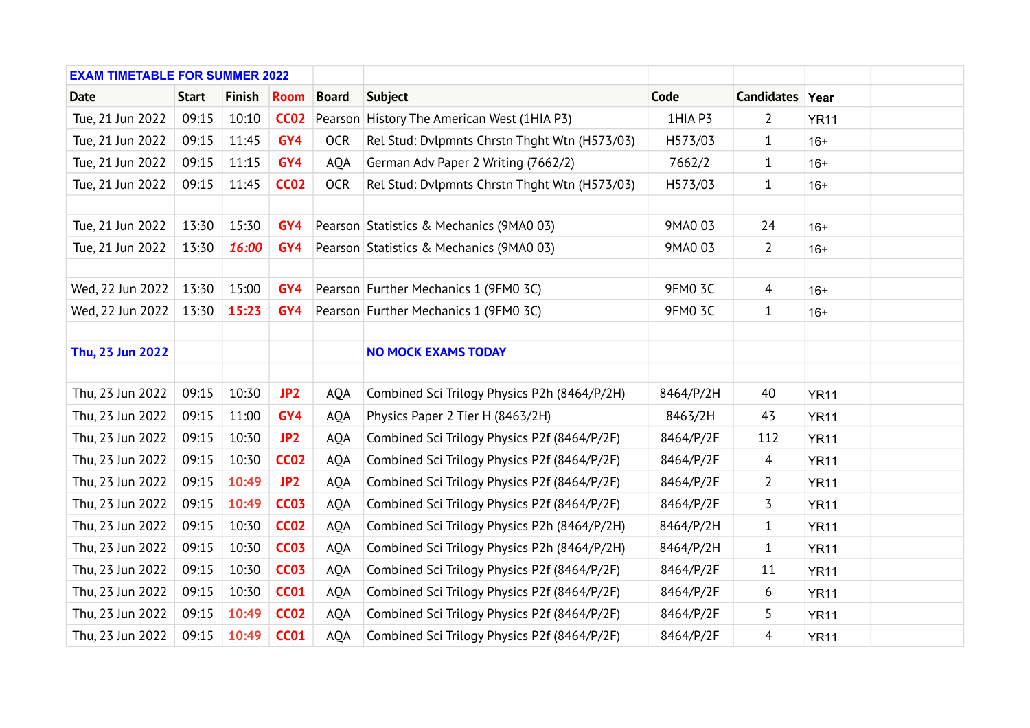| <b>EXAM TIMETABLE FOR SUMMER 2022</b> |              |               |                 |              |                                               |                |                 |             |  |
|---------------------------------------|--------------|---------------|-----------------|--------------|-----------------------------------------------|----------------|-----------------|-------------|--|
| <b>Date</b>                           | <b>Start</b> | <b>Finish</b> | <b>Room</b>     | <b>Board</b> | <b>Subject</b>                                | Code           | Candidates Year |             |  |
| Tue, 21 Jun 2022                      | 09:15        | 10:10         | <b>CC02</b>     |              | Pearson History The American West (1HIA P3)   | 1HIA P3        | $\overline{2}$  | <b>YR11</b> |  |
| Tue, 21 Jun 2022                      | 09:15        | 11:45         | GY4             | <b>OCR</b>   | Rel Stud: Dvlpmnts Chrstn Thqht Wtn (H573/03) | H573/03        | $\mathbf{1}$    | $16+$       |  |
| Tue, 21 Jun 2022                      | 09:15        | 11:15         | GY4             | <b>AQA</b>   | German Adv Paper 2 Writing (7662/2)           | 7662/2         | $\mathbf{1}$    | $16+$       |  |
| Tue, 21 Jun 2022                      | 09:15        | 11:45         | <b>CC02</b>     | <b>OCR</b>   | Rel Stud: Dvlpmnts Chrstn Thqht Wtn (H573/03) | H573/03        | $\mathbf{1}$    | $16+$       |  |
|                                       |              |               |                 |              |                                               |                |                 |             |  |
| Tue, 21 Jun 2022                      | 13:30        | 15:30         | GY4             |              | Pearson Statistics & Mechanics (9MA0 03)      | 9MA0 03        | 24              | $16+$       |  |
| Tue, 21 Jun 2022                      | 13:30        | 16:00         | GY4             |              | Pearson Statistics & Mechanics (9MA0 03)      | 9MA0 03        | $\overline{2}$  | $16+$       |  |
|                                       |              |               |                 |              |                                               |                |                 |             |  |
| Wed, 22 Jun 2022                      | 13:30        | 15:00         | GY4             |              | Pearson Further Mechanics 1 (9FM0 3C)         | <b>9FM0 3C</b> | $\overline{4}$  | $16+$       |  |
| Wed, 22 Jun 2022                      | 13:30        | 15:23         | GY4             |              | Pearson Further Mechanics 1 (9FM0 3C)         | <b>9FM0 3C</b> | $\mathbf{1}$    | $16+$       |  |
|                                       |              |               |                 |              |                                               |                |                 |             |  |
| Thu, 23 Jun 2022                      |              |               |                 |              | <b>NO MOCK EXAMS TODAY</b>                    |                |                 |             |  |
|                                       |              |               |                 |              |                                               |                |                 |             |  |
| Thu, 23 Jun 2022                      | 09:15        | 10:30         | JP <sub>2</sub> | <b>AQA</b>   | Combined Sci Trilogy Physics P2h (8464/P/2H)  | 8464/P/2H      | 40              | <b>YR11</b> |  |
| Thu, 23 Jun 2022                      | 09:15        | 11:00         | GY4             | <b>AOA</b>   | Physics Paper 2 Tier H (8463/2H)              | 8463/2H        | 43              | <b>YR11</b> |  |
| Thu, 23 Jun 2022                      | 09:15        | 10:30         | JP <sub>2</sub> | <b>AQA</b>   | Combined Sci Trilogy Physics P2f (8464/P/2F)  | 8464/P/2F      | 112             | <b>YR11</b> |  |
| Thu, 23 Jun 2022                      | 09:15        | 10:30         | <b>CC02</b>     | AQA          | Combined Sci Trilogy Physics P2f (8464/P/2F)  | 8464/P/2F      | $\overline{4}$  | <b>YR11</b> |  |
| Thu, 23 Jun 2022                      | 09:15        | 10:49         | JP <sub>2</sub> | AQA          | Combined Sci Trilogy Physics P2f (8464/P/2F)  | 8464/P/2F      | $\overline{2}$  | <b>YR11</b> |  |
| Thu, 23 Jun 2022                      | 09:15        | 10:49         | <b>CC03</b>     | <b>AQA</b>   | Combined Sci Trilogy Physics P2f (8464/P/2F)  | 8464/P/2F      | 3               | <b>YR11</b> |  |
| Thu, 23 Jun 2022                      | 09:15        | 10:30         | <b>CC02</b>     | <b>AQA</b>   | Combined Sci Trilogy Physics P2h (8464/P/2H)  | 8464/P/2H      | $\mathbf{1}$    | <b>YR11</b> |  |
| Thu, 23 Jun 2022                      | 09:15        | 10:30         | <b>CC03</b>     | AQA          | Combined Sci Trilogy Physics P2h (8464/P/2H)  | 8464/P/2H      | $\mathbf{1}$    | <b>YR11</b> |  |
| Thu, 23 Jun 2022                      | 09:15        | 10:30         | <b>CC03</b>     | AQA          | Combined Sci Trilogy Physics P2f (8464/P/2F)  | 8464/P/2F      | 11              | <b>YR11</b> |  |
| Thu, 23 Jun 2022                      | 09:15        | 10:30         | <b>CC01</b>     | AQA          | Combined Sci Trilogy Physics P2f (8464/P/2F)  | 8464/P/2F      | 6               | <b>YR11</b> |  |
| Thu, 23 Jun 2022                      | 09:15        | 10:49         | <b>CC02</b>     | AQA          | Combined Sci Trilogy Physics P2f (8464/P/2F)  | 8464/P/2F      | 5               | <b>YR11</b> |  |
| Thu, 23 Jun 2022                      | 09:15        | 10:49         | <b>CC01</b>     | AQA          | Combined Sci Trilogy Physics P2f (8464/P/2F)  | 8464/P/2F      | $\overline{4}$  | <b>YR11</b> |  |